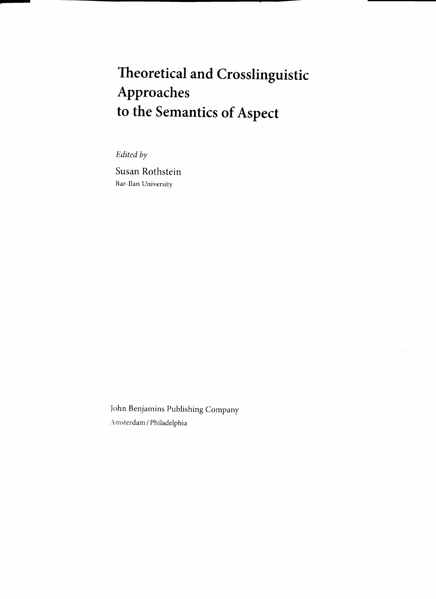# Theoretical and Crosslinguistic Approaches to the Semantics of Aspect

Edited by

-

Susan Rothstein Bar-Ilan University

John Benjamins Publishing Company Amsterdam / Philadelphia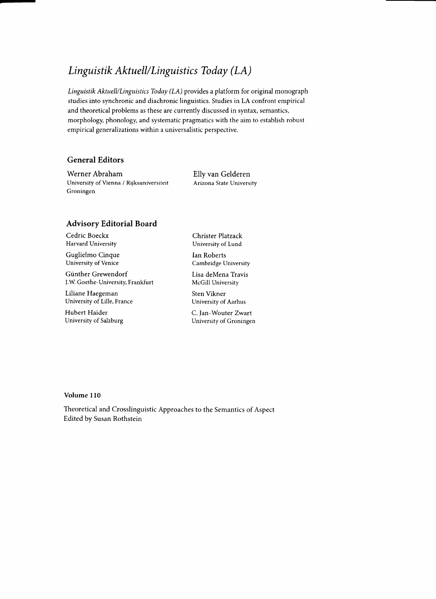# Linguistik Aktuell/Linguistics Today (LA)

Linguistik Aktuell/Linguistics Today (LA) provides a platform for original monograph studies into synchronic and diachronic linguistics. Studies in LA confront empirical and theoretical problems as these are currently discussed in syntax, semantics, morphology, phonology, and systematic pragmatics with the aim to establish robust empirical generalizations within a universalistic perspective.

# General Editors

Werner Abraham University of Vienna / Rijksuniversiteit Groningen

Elly van Gelderen Arizona State University

# Advisory Editorial Board

Cedric Boeckx Harvard University

Guglielmo Cinque University of Venice

Giinther Grewendorf |.W Goethe- University, Frankfurt

Liliane Haegeman University of Lille, France

Hubert Haider University of Salzburg Christer Platzack University of Lund

Ian Roberts Cambridge University

Lisa deMena Travis McGill University

Sten Vikner University of Aarhus

C. )an-Wouter Zwart University of Groningen

Volume I l0

Theoretical and Crosslinguistic Approaches to the Semantics of Aspect Edited by Susan Rothstein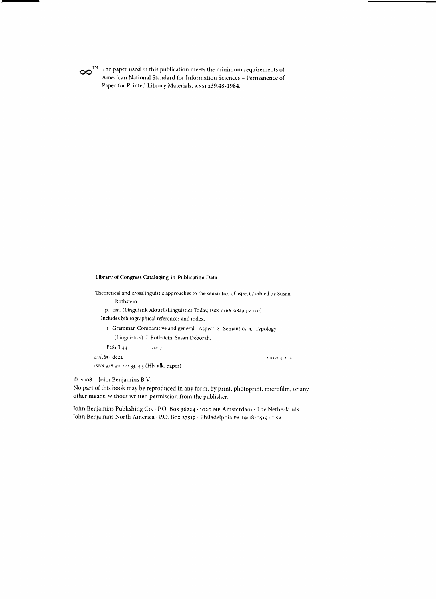

-

 $\infty^{\mathbb{T}^M}$  The paper used in this publication meets the minimum requirements of American National Standard for Information Sciences - Permanence of Paper for Printed Library Materials, ANSI z39.48-1984.

#### Library of Congress Cataloging-in-Publication Data

Theoretical and crosslinguistic approaches to the semantics of aspect / edited by Susan Rothstein.

p. cm. (Linguistik Aktuell/Linguistics Today, ISSN 0166-0829; v. 110) Includes bibliographical references and index.

1. Grammar, Comparative and general--Aspect. 2. Semantics. 3. Typology (Linguistics) I. Rothstein, Susan Deborah.

P<sub>2</sub>81.T<sub>44</sub> 2007

415'.63--dc22 2007031205 1SBN 978 90 272 3374 5 (Hb; alk. paper)

 $\bar{\mathcal{A}}$ 

@ zoo8 - John Benjamins B.V.

No part of this book may be reproduced in any form, by print, photoprint, microfilm, or any other means, without written permission from the publisher.

fohn Benjamins Publishing Co. ' P,O. Box 36224. ro2o ME Amsterdam . The Netherlands John Benjamins North America . P.O. Box 27519 . Philadelphia pa 19118-0519 . usA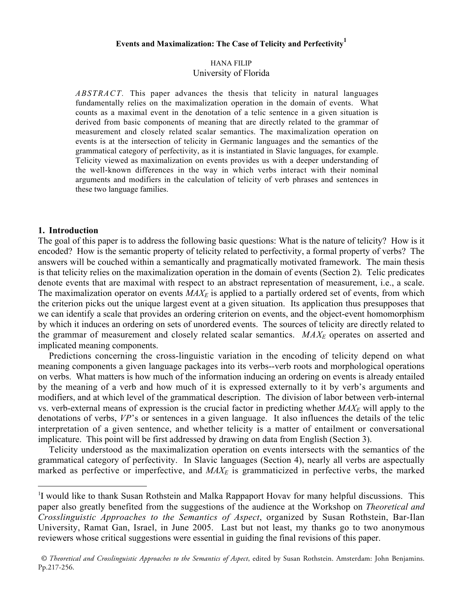# **Events and Maximalization: The Case of Telicity and Perfectivity<sup>1</sup>**

# HANA FILIP University of Florida

*ABSTRACT.* This paper advances the thesis that telicity in natural languages fundamentally relies on the maximalization operation in the domain of events. What counts as a maximal event in the denotation of a telic sentence in a given situation is derived from basic components of meaning that are directly related to the grammar of measurement and closely related scalar semantics. The maximalization operation on events is at the intersection of telicity in Germanic languages and the semantics of the grammatical category of perfectivity, as it is instantiated in Slavic languages, for example. Telicity viewed as maximalization on events provides us with a deeper understanding of the well-known differences in the way in which verbs interact with their nominal arguments and modifiers in the calculation of telicity of verb phrases and sentences in these two language families.

#### **1. Introduction**

The goal of this paper is to address the following basic questions: What is the nature of telicity? How is it encoded? How is the semantic property of telicity related to perfectivity, a formal property of verbs? The answers will be couched within a semantically and pragmatically motivated framework. The main thesis is that telicity relies on the maximalization operation in the domain of events (Section 2). Telic predicates denote events that are maximal with respect to an abstract representation of measurement, i.e., a scale. The maximalization operator on events  $MAX_E$  is applied to a partially ordered set of events, from which the criterion picks out the unique largest event at a given situation. Its application thus presupposes that we can identify a scale that provides an ordering criterion on events, and the object-event homomorphism by which it induces an ordering on sets of unordered events. The sources of telicity are directly related to the grammar of measurement and closely related scalar semantics. *MAX<sub>E</sub>* operates on asserted and implicated meaning components.

Predictions concerning the cross-linguistic variation in the encoding of telicity depend on what meaning components a given language packages into its verbs--verb roots and morphological operations on verbs. What matters is how much of the information inducing an ordering on events is already entailed by the meaning of a verb and how much of it is expressed externally to it by verb's arguments and modifiers, and at which level of the grammatical description. The division of labor between verb-internal vs. verb-external means of expression is the crucial factor in predicting whether *MAXE* will apply to the denotations of verbs, *VP*'s or sentences in a given language. It also influences the details of the telic interpretation of a given sentence, and whether telicity is a matter of entailment or conversational implicature. This point will be first addressed by drawing on data from English (Section 3).

Telicity understood as the maximalization operation on events intersects with the semantics of the grammatical category of perfectivity. In Slavic languages (Section 4), nearly all verbs are aspectually marked as perfective or imperfective, and *MAXE* is grammaticized in perfective verbs, the marked

 $\frac{1}{1}$ <sup>1</sup>I would like to thank Susan Rothstein and Malka Rappaport Hovav for many helpful discussions. This paper also greatly benefited from the suggestions of the audience at the Workshop on *Theoretical and Crosslinguistic Approaches to the Semantics of Aspect*, organized by Susan Rothstein, Bar-Ilan University, Ramat Gan, Israel, in June 2005. Last but not least, my thanks go to two anonymous reviewers whose critical suggestions were essential in guiding the final revisions of this paper.

<sup>©</sup> *Theoretical and Crosslinguistic Approaches to the Semantics of Aspect*, edited by Susan Rothstein. Amsterdam: John Benjamins. Pp.217-256.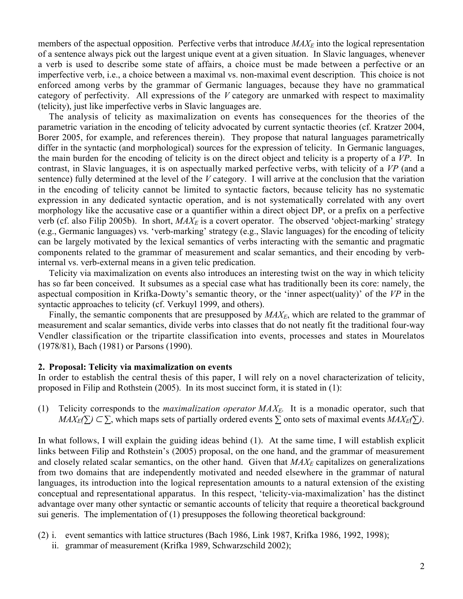members of the aspectual opposition. Perfective verbs that introduce  $MAX_E$  into the logical representation of a sentence always pick out the largest unique event at a given situation. In Slavic languages, whenever a verb is used to describe some state of affairs, a choice must be made between a perfective or an imperfective verb, i.e., a choice between a maximal vs. non-maximal event description. This choice is not enforced among verbs by the grammar of Germanic languages, because they have no grammatical category of perfectivity. All expressions of the *V* category are unmarked with respect to maximality (telicity), just like imperfective verbs in Slavic languages are.

The analysis of telicity as maximalization on events has consequences for the theories of the parametric variation in the encoding of telicity advocated by current syntactic theories (cf. Kratzer 2004, Borer 2005, for example, and references therein). They propose that natural languages parametrically differ in the syntactic (and morphological) sources for the expression of telicity. In Germanic languages, the main burden for the encoding of telicity is on the direct object and telicity is a property of a *VP*. In contrast, in Slavic languages, it is on aspectually marked perfective verbs, with telicity of a *VP* (and a sentence) fully determined at the level of the *V* category. I will arrive at the conclusion that the variation in the encoding of telicity cannot be limited to syntactic factors, because telicity has no systematic expression in any dedicated syntactic operation, and is not systematically correlated with any overt morphology like the accusative case or a quantifier within a direct object DP, or a prefix on a perfective verb (cf. also Filip 2005b). In short,  $MAX_E$  is a covert operator. The observed 'object-marking' strategy (e.g., Germanic languages) vs. 'verb-marking' strategy (e.g., Slavic languages) for the encoding of telicity can be largely motivated by the lexical semantics of verbs interacting with the semantic and pragmatic components related to the grammar of measurement and scalar semantics, and their encoding by verbinternal vs. verb-external means in a given telic predication.

Telicity via maximalization on events also introduces an interesting twist on the way in which telicity has so far been conceived. It subsumes as a special case what has traditionally been its core: namely, the aspectual composition in Krifka-Dowty's semantic theory, or the 'inner aspect(uality)' of the *VP* in the syntactic approaches to telicity (cf. Verkuyl 1999, and others).

Finally, the semantic components that are presupposed by *MAXE*, which are related to the grammar of measurement and scalar semantics, divide verbs into classes that do not neatly fit the traditional four-way Vendler classification or the tripartite classification into events, processes and states in Mourelatos (1978/81), Bach (1981) or Parsons (1990).

# **2. Proposal: Telicity via maximalization on events**

In order to establish the central thesis of this paper, I will rely on a novel characterization of telicity, proposed in Filip and Rothstein (2005). In its most succinct form, it is stated in (1):

(1) Telicity corresponds to the *maximalization operator MAXE.* It is a monadic operator, such that *MAX<sub>E</sub>*( $\sum$ ) ⊂  $\sum$ , which maps sets of partially ordered events  $\sum$  onto sets of maximal events *MAX<sub>E</sub>*( $\sum$ ).

In what follows, I will explain the guiding ideas behind (1). At the same time, I will establish explicit links between Filip and Rothstein's (2005) proposal, on the one hand, and the grammar of measurement and closely related scalar semantics, on the other hand. Given that  $MAX<sub>F</sub>$  capitalizes on generalizations from two domains that are independently motivated and needed elsewhere in the grammar of natural languages, its introduction into the logical representation amounts to a natural extension of the existing conceptual and representational apparatus. In this respect, 'telicity-via-maximalization' has the distinct advantage over many other syntactic or semantic accounts of telicity that require a theoretical background sui generis. The implementation of (1) presupposes the following theoretical background:

- (2) i. event semantics with lattice structures (Bach 1986, Link 1987, Krifka 1986, 1992, 1998);
	- ii. grammar of measurement (Krifka 1989, Schwarzschild 2002);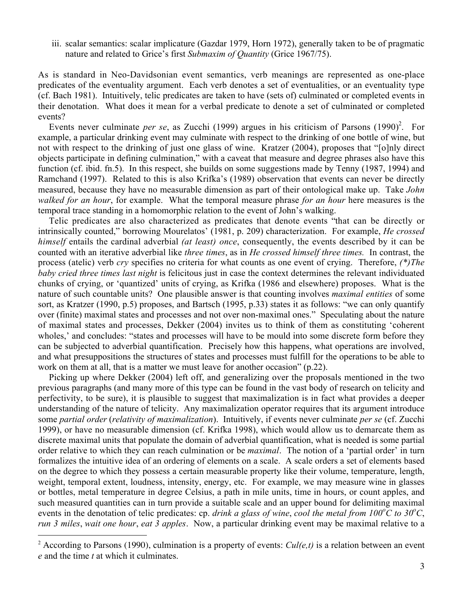iii. scalar semantics: scalar implicature (Gazdar 1979, Horn 1972), generally taken to be of pragmatic nature and related to Grice's first *Submaxim of Quantity* (Grice 1967/75).

As is standard in Neo-Davidsonian event semantics, verb meanings are represented as one-place predicates of the eventuality argument. Each verb denotes a set of eventualities, or an eventuality type (cf. Bach 1981). Intuitively, telic predicates are taken to have (sets of) culminated or completed events in their denotation. What does it mean for a verbal predicate to denote a set of culminated or completed events?

Events never culminate *per se*, as Zucchi (1999) argues in his criticism of Parsons (1990)<sup>2</sup>. For example, a particular drinking event may culminate with respect to the drinking of one bottle of wine, but not with respect to the drinking of just one glass of wine. Kratzer (2004), proposes that "[o]nly direct objects participate in defining culmination," with a caveat that measure and degree phrases also have this function (cf. ibid. fn.5). In this respect, she builds on some suggestions made by Tenny (1987, 1994) and Ramchand (1997). Related to this is also Krifka's (1989) observation that events can never be directly measured, because they have no measurable dimension as part of their ontological make up. Take *John walked for an hour*, for example. What the temporal measure phrase *for an hour* here measures is the temporal trace standing in a homomorphic relation to the event of John's walking.

Telic predicates are also characterized as predicates that denote events "that can be directly or intrinsically counted," borrowing Mourelatos' (1981, p. 209) characterization. For example, *He crossed himself* entails the cardinal adverbial *(at least) once*, consequently, the events described by it can be counted with an iterative adverbial like *three times*, as in *He crossed himself three times.* In contrast, the process (atelic) verb *cry* specifies no criteria for what counts as one event of crying. Therefore, *(\*)The baby cried three times last night* is felicitous just in case the context determines the relevant individuated chunks of crying, or 'quantized' units of crying, as Krifka (1986 and elsewhere) proposes. What is the nature of such countable units? One plausible answer is that counting involves *maximal entities* of some sort, as Kratzer (1990, p.5) proposes, and Bartsch (1995, p.33) states it as follows: "we can only quantify over (finite) maximal states and processes and not over non-maximal ones." Speculating about the nature of maximal states and processes, Dekker (2004) invites us to think of them as constituting 'coherent wholes,' and concludes: "states and processes will have to be mould into some discrete form before they can be subjected to adverbial quantification. Precisely how this happens, what operations are involved, and what presuppositions the structures of states and processes must fulfill for the operations to be able to work on them at all, that is a matter we must leave for another occasion" (p.22).

Picking up where Dekker (2004) left off, and generalizing over the proposals mentioned in the two previous paragraphs (and many more of this type can be found in the vast body of research on telicity and perfectivity, to be sure), it is plausible to suggest that maximalization is in fact what provides a deeper understanding of the nature of telicity. Any maximalization operator requires that its argument introduce some *partial order* (*relativity of maximalization*). Intuitively, if events never culminate *per se* (cf. Zucchi 1999), or have no measurable dimension (cf. Krifka 1998), which would allow us to demarcate them as discrete maximal units that populate the domain of adverbial quantification, what is needed is some partial order relative to which they can reach culmination or be *maximal*. The notion of a 'partial order' in turn formalizes the intuitive idea of an ordering of elements on a scale. A scale orders a set of elements based on the degree to which they possess a certain measurable property like their volume, temperature, length, weight, temporal extent, loudness, intensity, energy, etc. For example, we may measure wine in glasses or bottles, metal temperature in degree Celsius, a path in mile units, time in hours, or count apples, and such measured quantities can in turn provide a suitable scale and an upper bound for delimiting maximal events in the denotation of telic predicates: cp. *drink a glass of wine*, *cool the metal from 100<sup>o</sup>C to 30<sup>o</sup>C*, *run 3 miles*, *wait one hour*, *eat 3 apples*. Now, a particular drinking event may be maximal relative to a

<sup>&</sup>lt;sup>2</sup> According to Parsons (1990), culmination is a property of events: *Cul(e,t)* is a relation between an event *e* and the time *t* at which it culminates.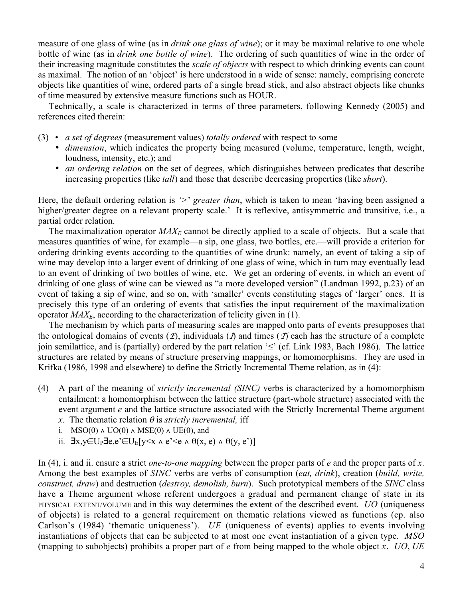measure of one glass of wine (as in *drink one glass of wine*); or it may be maximal relative to one whole bottle of wine (as in *drink one bottle of wine*). The ordering of such quantities of wine in the order of their increasing magnitude constitutes the *scale of objects* with respect to which drinking events can count as maximal. The notion of an 'object' is here understood in a wide of sense: namely, comprising concrete objects like quantities of wine, ordered parts of a single bread stick, and also abstract objects like chunks of time measured by extensive measure functions such as HOUR.

Technically, a scale is characterized in terms of three parameters, following Kennedy (2005) and references cited therein:

- (3) *a set of degrees* (measurement values) *totally ordered* with respect to some
	- *dimension*, which indicates the property being measured (volume, temperature, length, weight, loudness, intensity, etc.); and
	- *an ordering relation* on the set of degrees, which distinguishes between predicates that describe increasing properties (like *tall*) and those that describe decreasing properties (like *short*).

Here, the default ordering relation is *'>*' *greater than*, which is taken to mean 'having been assigned a higher/greater degree on a relevant property scale.' It is reflexive, antisymmetric and transitive, i.e., a partial order relation.

The maximalization operator  $MAX_E$  cannot be directly applied to a scale of objects. But a scale that measures quantities of wine, for example—a sip, one glass, two bottles, etc.—will provide a criterion for ordering drinking events according to the quantities of wine drunk: namely, an event of taking a sip of wine may develop into a larger event of drinking of one glass of wine, which in turn may eventually lead to an event of drinking of two bottles of wine, etc. We get an ordering of events, in which an event of drinking of one glass of wine can be viewed as "a more developed version" (Landman 1992, p.23) of an event of taking a sip of wine, and so on, with 'smaller' events constituting stages of 'larger' ones. It is precisely this type of an ordering of events that satisfies the input requirement of the maximalization operator *MAXE*, according to the characterization of telicity given in (1).

The mechanism by which parts of measuring scales are mapped onto parts of events presupposes that the ontological domains of events  $(\mathcal{I})$ , individuals  $(\mathcal{I})$  and times  $(\mathcal{I})$  each has the structure of a complete join semilattice, and is (partially) ordered by the part relation '*≤*' (cf. Link 1983, Bach 1986). The lattice structures are related by means of structure preserving mappings, or homomorphisms. They are used in Krifka (1986, 1998 and elsewhere) to define the Strictly Incremental Theme relation, as in (4):

- (4) A part of the meaning of *strictly incremental (SINC)* verbs is characterized by a homomorphism entailment: a homomorphism between the lattice structure (part-whole structure) associated with the event argument *e* and the lattice structure associated with the Strictly Incremental Theme argument
	- *x*. The thematic relation  $\theta$  is *strictly incremental*, iff
	- i.  $MSO(\theta) \wedge UO(\theta) \wedge MSE(\theta) \wedge UE(\theta)$ , and
	- ii.  $\exists x, y \in U_P \exists e, e' \in U_E[y \leq x \land e' \leq e \land \theta(x, e) \land \theta(y, e')]$

In (4), i. and ii. ensure a strict *one-to-one mapping* between the proper parts of *e* and the proper parts of *x*. Among the best examples of *SINC* verbs are verbs of consumption (*eat, drink*), creation (*build, write, construct, draw*) and destruction (*destroy, demolish, burn*). Such prototypical members of the *SINC* class have a Theme argument whose referent undergoes a gradual and permanent change of state in its PHYSICAL EXTENT/VOLUME and in this way determines the extent of the described event. *UO* (uniqueness of objects) is related to a general requirement on thematic relations viewed as functions (cp. also Carlson's (1984) 'thematic uniqueness'). *UE* (uniqueness of events) applies to events involving instantiations of objects that can be subjected to at most one event instantiation of a given type. *MSO* (mapping to subobjects) prohibits a proper part of *e* from being mapped to the whole object *x*. *UO*, *UE*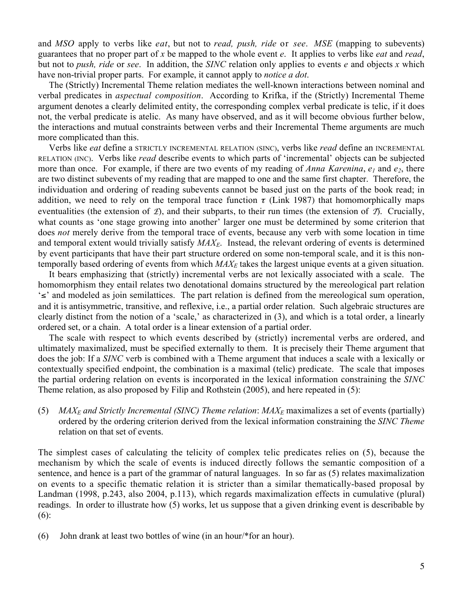and *MSO* apply to verbs like *eat*, but not to *read, push, ride* or *see*. *MSE* (mapping to subevents) guarantees that no proper part of *x* be mapped to the whole event *e*. It applies to verbs like *eat* and *read*, but not to *push, ride* or *see*. In addition, the *SINC* relation only applies to events *e* and objects *x* which have non-trivial proper parts. For example, it cannot apply to *notice a dot*.

The (Strictly) Incremental Theme relation mediates the well-known interactions between nominal and verbal predicates in *aspectual composition*. According to Krifka, if the (Strictly) Incremental Theme argument denotes a clearly delimited entity, the corresponding complex verbal predicate is telic, if it does not, the verbal predicate is atelic. As many have observed, and as it will become obvious further below, the interactions and mutual constraints between verbs and their Incremental Theme arguments are much more complicated than this.

Verbs like *eat* define a STRICTLY INCREMENTAL RELATION (SINC), verbs like *read* define an INCREMENTAL RELATION (INC). Verbs like *read* describe events to which parts of 'incremental' objects can be subjected more than once. For example, if there are two events of my reading of *Anna Karenina*,  $e_1$  and  $e_2$ , there are two distinct subevents of my reading that are mapped to one and the same first chapter. Therefore, the individuation and ordering of reading subevents cannot be based just on the parts of the book read; in addition, we need to rely on the temporal trace function  $\tau$  (Link 1987) that homomorphically maps eventualities (the extension of  $\mathcal{I}$ ), and their subparts, to their run times (the extension of  $\mathcal{I}$ ). Crucially, what counts as 'one stage growing into another' larger one must be determined by some criterion that does *not* merely derive from the temporal trace of events, because any verb with some location in time and temporal extent would trivially satisfy *MAXE*. Instead, the relevant ordering of events is determined by event participants that have their part structure ordered on some non-temporal scale, and it is this nontemporally based ordering of events from which *MAXE* takes the largest unique events at a given situation.

It bears emphasizing that (strictly) incremental verbs are not lexically associated with a scale. The homomorphism they entail relates two denotational domains structured by the mereological part relation '≤' and modeled as join semilattices. The part relation is defined from the mereological sum operation, and it is antisymmetric, transitive, and reflexive, i.e., a partial order relation. Such algebraic structures are clearly distinct from the notion of a 'scale,' as characterized in (3), and which is a total order, a linearly ordered set, or a chain. A total order is a linear extension of a partial order.

The scale with respect to which events described by (strictly) incremental verbs are ordered, and ultimately maximalized, must be specified externally to them. It is precisely their Theme argument that does the job: If a *SINC* verb is combined with a Theme argument that induces a scale with a lexically or contextually specified endpoint, the combination is a maximal (telic) predicate. The scale that imposes the partial ordering relation on events is incorporated in the lexical information constraining the *SINC* Theme relation, as also proposed by Filip and Rothstein (2005), and here repeated in (5):

(5) *MAXE and Strictly Incremental (SINC) Theme relation*: *MAXE* maximalizes a set of events (partially) ordered by the ordering criterion derived from the lexical information constraining the *SINC Theme* relation on that set of events.

The simplest cases of calculating the telicity of complex telic predicates relies on (5), because the mechanism by which the scale of events is induced directly follows the semantic composition of a sentence, and hence is a part of the grammar of natural languages. In so far as (5) relates maximalization on events to a specific thematic relation it is stricter than a similar thematically-based proposal by Landman (1998, p.243, also 2004, p.113), which regards maximalization effects in cumulative (plural) readings. In order to illustrate how (5) works, let us suppose that a given drinking event is describable by (6):

<sup>(6)</sup> John drank at least two bottles of wine (in an hour/\*for an hour).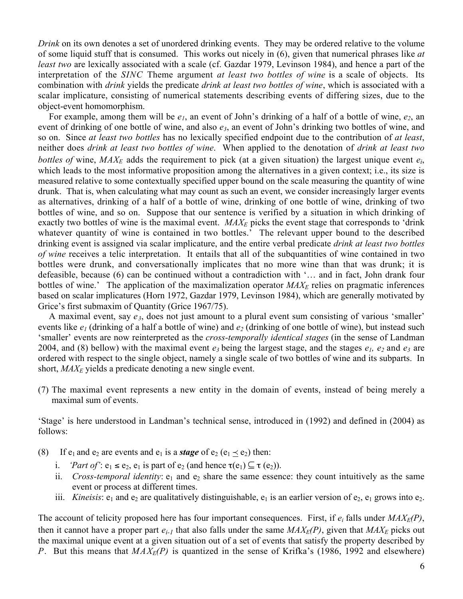*Drink* on its own denotes a set of unordered drinking events. They may be ordered relative to the volume of some liquid stuff that is consumed. This works out nicely in (6), given that numerical phrases like *at least two* are lexically associated with a scale (cf. Gazdar 1979, Levinson 1984), and hence a part of the interpretation of the *SINC* Theme argument *at least two bottles of wine* is a scale of objects. Its combination with *drink* yields the predicate *drink at least two bottles of wine*, which is associated with a scalar implicature, consisting of numerical statements describing events of differing sizes, due to the object-event homomorphism.

For example, among them will be  $e_1$ , an event of John's drinking of a half of a bottle of wine,  $e_2$ , an event of drinking of one bottle of wine, and also *e3*, an event of John's drinking two bottles of wine, and so on. Since *at least two bottles* has no lexically specified endpoint due to the contribution of *at least*, neither does *drink at least two bottles of wine*. When applied to the denotation of *drink at least two bottles of* wine, *MAXE* adds the requirement to pick (at a given situation) the largest unique event *ei*, which leads to the most informative proposition among the alternatives in a given context; i.e., its size is measured relative to some contextually specified upper bound on the scale measuring the quantity of wine drunk. That is, when calculating what may count as such an event, we consider increasingly larger events as alternatives, drinking of a half of a bottle of wine, drinking of one bottle of wine, drinking of two bottles of wine, and so on. Suppose that our sentence is verified by a situation in which drinking of exactly two bottles of wine is the maximal event. *MAXE* picks the event stage that corresponds to 'drink whatever quantity of wine is contained in two bottles.' The relevant upper bound to the described drinking event is assigned via scalar implicature, and the entire verbal predicate *drink at least two bottles of wine* receives a telic interpretation. It entails that all of the subquantities of wine contained in two bottles were drunk, and conversationally implicates that no more wine than that was drunk; it is defeasible, because (6) can be continued without a contradiction with '… and in fact, John drank four bottles of wine.' The application of the maximalization operator  $MAX_E$  relies on pragmatic inferences based on scalar implicatures (Horn 1972, Gazdar 1979, Levinson 1984), which are generally motivated by Grice's first submaxim of Quantity (Grice 1967/75).

A maximal event, say *e3*, does not just amount to a plural event sum consisting of various 'smaller' events like  $e_1$  (drinking of a half a bottle of wine) and  $e_2$  (drinking of one bottle of wine), but instead such 'smaller' events are now reinterpreted as the *cross-temporally identical stages* (in the sense of Landman 2004, and (8) bellow) with the maximal event  $e_3$  being the largest stage, and the stages  $e_1$ ,  $e_2$  and  $e_3$  are ordered with respect to the single object, namely a single scale of two bottles of wine and its subparts. In short, *MAXE* yields a predicate denoting a new single event.

(7) The maximal event represents a new entity in the domain of events, instead of being merely a maximal sum of events.

'Stage' is here understood in Landman's technical sense, introduced in (1992) and defined in (2004) as follows:

- (8) If  $e_1$  and  $e_2$  are events and  $e_1$  is a *stage* of  $e_2$  ( $e_1 \le e_2$ ) then:
	- i. *'Part of'*:  $e_1 \le e_2$ ,  $e_1$  is part of  $e_2$  (and hence  $\tau(e_1) \subseteq \tau(e_2)$ ).
	- ii. *Cross-temporal identity*:  $e_1$  and  $e_2$  share the same essence: they count intuitively as the same event or process at different times.
	- iii. *Kineisis*:  $e_1$  and  $e_2$  are qualitatively distinguishable,  $e_1$  is an earlier version of  $e_2$ ,  $e_1$  grows into  $e_2$ .

The account of telicity proposed here has four important consequences. First, if  $e_i$  falls under  $MAX_E(P)$ , then it cannot have a proper part  $e_{i-1}$  that also falls under the same  $MAX_E(P)$ , given that  $MAX_E$  picks out the maximal unique event at a given situation out of a set of events that satisfy the property described by *P*. But this means that  $MAX_E(P)$  is quantized in the sense of Krifka's (1986, 1992 and elsewhere)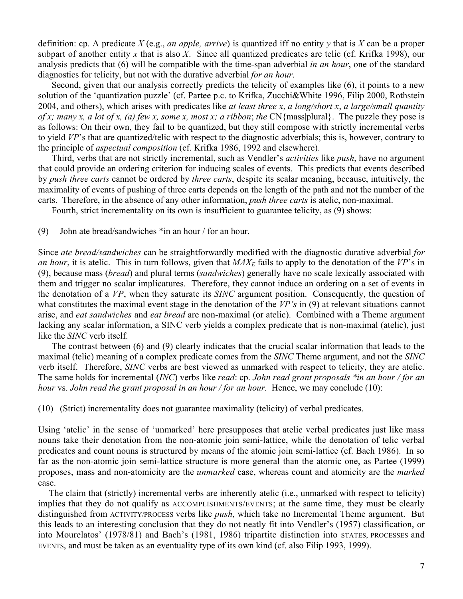definition: cp. A predicate *X* (e.g., *an apple, arrive*) is quantized iff no entity *y* that is *X* can be a proper subpart of another entity *x* that is also *X*. Since all quantized predicates are telic (cf. Krifka 1998), our analysis predicts that (6) will be compatible with the time-span adverbial *in an hour*, one of the standard diagnostics for telicity, but not with the durative adverbial *for an hour*.

Second, given that our analysis correctly predicts the telicity of examples like (6), it points to a new solution of the 'quantization puzzle' (cf. Partee p.c. to Krifka, Zucchi&White 1996, Filip 2000, Rothstein 2004, and others), which arises with predicates like *at least three x*, *a long/short x*, *a large/small quantity of x; many x, a lot of x, (a) few x, some x, most x; a ribbon*; *the* CN{mass|plural}. The puzzle they pose is as follows: On their own, they fail to be quantized, but they still compose with strictly incremental verbs to yield *VP*'s that are quantized/telic with respect to the diagnostic adverbials; this is, however, contrary to the principle of *aspectual composition* (cf. Krifka 1986, 1992 and elsewhere).

Third, verbs that are not strictly incremental, such as Vendler's *activities* like *push*, have no argument that could provide an ordering criterion for inducing scales of events. This predicts that events described by *push three carts* cannot be ordered by *three carts*, despite its scalar meaning, because, intuitively, the maximality of events of pushing of three carts depends on the length of the path and not the number of the carts. Therefore, in the absence of any other information, *push three carts* is atelic, non-maximal.

Fourth, strict incrementality on its own is insufficient to guarantee telicity, as (9) shows:

(9) John ate bread/sandwiches \*in an hour / for an hour.

Since *ate bread/sandwiches* can be straightforwardly modified with the diagnostic durative adverbial *for an hour*, it is atelic. This in turn follows, given that *MAXE* fails to apply to the denotation of the *VP*'s in (9), because mass (*bread*) and plural terms (*sandwiches*) generally have no scale lexically associated with them and trigger no scalar implicatures. Therefore, they cannot induce an ordering on a set of events in the denotation of a *VP*, when they saturate its *SINC* argument position. Consequently, the question of what constitutes the maximal event stage in the denotation of the *VP's* in (9) at relevant situations cannot arise, and *eat sandwiches* and *eat bread* are non-maximal (or atelic). Combined with a Theme argument lacking any scalar information, a SINC verb yields a complex predicate that is non-maximal (atelic), just like the *SINC* verb itself.

The contrast between (6) and (9) clearly indicates that the crucial scalar information that leads to the maximal (telic) meaning of a complex predicate comes from the *SINC* Theme argument, and not the *SINC* verb itself. Therefore, *SINC* verbs are best viewed as unmarked with respect to telicity, they are atelic. The same holds for incremental (*INC*) verbs like *read*: cp. *John read grant proposals \*in an hour / for an hour* vs. *John read the grant proposal in an hour / for an hour.* Hence, we may conclude (10):

(10) (Strict) incrementality does not guarantee maximality (telicity) of verbal predicates.

Using 'atelic' in the sense of 'unmarked' here presupposes that atelic verbal predicates just like mass nouns take their denotation from the non-atomic join semi-lattice, while the denotation of telic verbal predicates and count nouns is structured by means of the atomic join semi-lattice (cf. Bach 1986). In so far as the non-atomic join semi-lattice structure is more general than the atomic one, as Partee (1999) proposes, mass and non-atomicity are the *unmarked* case, whereas count and atomicity are the *marked* case.

The claim that (strictly) incremental verbs are inherently atelic (i.e., unmarked with respect to telicity) implies that they do not qualify as ACCOMPLISHMENTS/EVENTS; at the same time, they must be clearly distinguished from ACTIVITY/PROCESS verbs like *push*, which take no Incremental Theme argument. But this leads to an interesting conclusion that they do not neatly fit into Vendler's (1957) classification, or into Mourelatos' (1978/81) and Bach's (1981, 1986) tripartite distinction into STATES, PROCESSES and EVENTS, and must be taken as an eventuality type of its own kind (cf. also Filip 1993, 1999).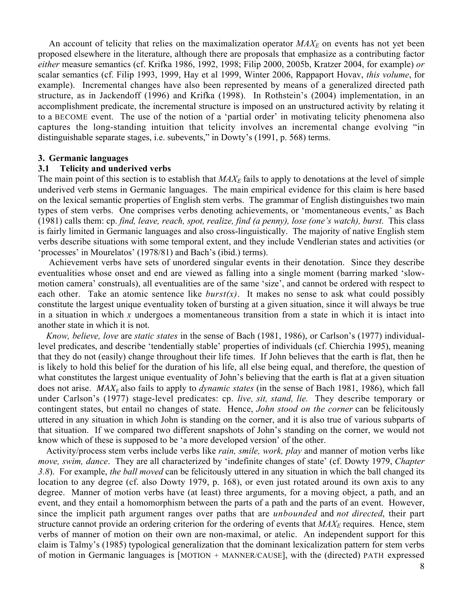An account of telicity that relies on the maximalization operator  $MAX_E$  on events has not yet been proposed elsewhere in the literature, although there are proposals that emphasize as a contributing factor *either* measure semantics (cf. Krifka 1986, 1992, 1998; Filip 2000, 2005b, Kratzer 2004, for example) *or* scalar semantics (cf. Filip 1993, 1999, Hay et al 1999, Winter 2006, Rappaport Hovav, *this volume*, for example). Incremental changes have also been represented by means of a generalized directed path structure, as in Jackendoff (1996) and Krifka (1998). In Rothstein's (2004) implementation, in an accomplishment predicate, the incremental structure is imposed on an unstructured activity by relating it to a BECOME event. The use of the notion of a 'partial order' in motivating telicity phenomena also captures the long-standing intuition that telicity involves an incremental change evolving "in distinguishable separate stages, i.e. subevents," in Dowty's (1991, p. 568) terms.

# **3. Germanic languages**

#### **3.1 Telicity and underived verbs**

The main point of this section is to establish that *MAXE* fails to apply to denotations at the level of simple underived verb stems in Germanic languages. The main empirical evidence for this claim is here based on the lexical semantic properties of English stem verbs. The grammar of English distinguishes two main types of stem verbs. One comprises verbs denoting achievements, or 'momentaneous events,' as Bach (1981) calls them: cp. *find, leave, reach, spot, realize, find (a penny), lose (one's watch), burst*. This class is fairly limited in Germanic languages and also cross-linguistically. The majority of native English stem verbs describe situations with some temporal extent, and they include Vendlerian states and activities (or 'processes' in Mourelatos' (1978/81) and Bach's (ibid.) terms).

Achievement verbs have sets of unordered singular events in their denotation. Since they describe eventualities whose onset and end are viewed as falling into a single moment (barring marked 'slowmotion camera' construals), all eventualities are of the same 'size', and cannot be ordered with respect to each other. Take an atomic sentence like  $burst(x)$ . It makes no sense to ask what could possibly constitute the largest unique eventuality token of bursting at a given situation, since it will always be true in a situation in which *x* undergoes a momentaneous transition from a state in which it is intact into another state in which it is not.

*Know, believe, love* are *static states* in the sense of Bach (1981, 1986), or Carlson's (1977) individuallevel predicates, and describe 'tendentially stable' properties of individuals (cf. Chierchia 1995), meaning that they do not (easily) change throughout their life times. If John believes that the earth is flat, then he is likely to hold this belief for the duration of his life, all else being equal, and therefore, the question of what constitutes the largest unique eventuality of John's believing that the earth is flat at a given situation does not arise. *MAX<sub>E</sub>* also fails to apply to *dynamic states* (in the sense of Bach 1981, 1986), which fall under Carlson's (1977) stage-level predicates: cp. *live, sit, stand, lie.* They describe temporary or contingent states, but entail no changes of state. Hence, *John stood on the corner* can be felicitously uttered in any situation in which John is standing on the corner, and it is also true of various subparts of that situation. If we compared two different snapshots of John's standing on the corner, we would not know which of these is supposed to be 'a more developed version' of the other.

Activity/process stem verbs include verbs like *rain, smile, work, play* and manner of motion verbs like *move, swim, dance*. They are all characterized by 'indefinite changes of state' (cf. Dowty 1979, *Chapter 3.8*). For example, *the ball moved* can be felicitously uttered in any situation in which the ball changed its location to any degree (cf. also Dowty 1979, p. 168), or even just rotated around its own axis to any degree. Manner of motion verbs have (at least) three arguments, for a moving object, a path, and an event, and they entail a homomorphism between the parts of a path and the parts of an event. However, since the implicit path argument ranges over paths that are *unbounded* and *not directed*, their part structure cannot provide an ordering criterion for the ordering of events that  $MAX_E$  requires. Hence, stem verbs of manner of motion on their own are non-maximal, or atelic. An independent support for this claim is Talmy's (1985) typological generalization that the dominant lexicalization pattern for stem verbs of motion in Germanic languages is [MOTION + MANNER/CAUSE], with the (directed) PATH expressed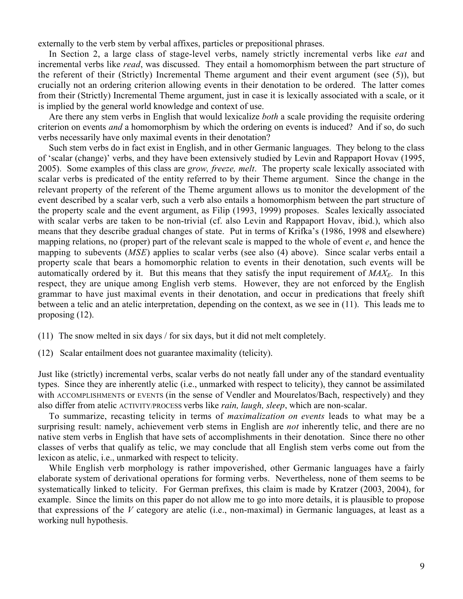externally to the verb stem by verbal affixes, particles or prepositional phrases.

In Section 2, a large class of stage-level verbs, namely strictly incremental verbs like *eat* and incremental verbs like *read*, was discussed. They entail a homomorphism between the part structure of the referent of their (Strictly) Incremental Theme argument and their event argument (see (5)), but crucially not an ordering criterion allowing events in their denotation to be ordered. The latter comes from their (Strictly) Incremental Theme argument, just in case it is lexically associated with a scale, or it is implied by the general world knowledge and context of use.

Are there any stem verbs in English that would lexicalize *both* a scale providing the requisite ordering criterion on events *and* a homomorphism by which the ordering on events is induced? And if so, do such verbs necessarily have only maximal events in their denotation?

Such stem verbs do in fact exist in English, and in other Germanic languages. They belong to the class of 'scalar (change)' verbs, and they have been extensively studied by Levin and Rappaport Hovav (1995, 2005). Some examples of this class are *grow, freeze, melt*. The property scale lexically associated with scalar verbs is predicated of the entity referred to by their Theme argument. Since the change in the relevant property of the referent of the Theme argument allows us to monitor the development of the event described by a scalar verb, such a verb also entails a homomorphism between the part structure of the property scale and the event argument, as Filip (1993, 1999) proposes. Scales lexically associated with scalar verbs are taken to be non-trivial (cf. also Levin and Rappaport Hovav, ibid.), which also means that they describe gradual changes of state. Put in terms of Krifka's (1986, 1998 and elsewhere) mapping relations, no (proper) part of the relevant scale is mapped to the whole of event *e*, and hence the mapping to subevents (*MSE*) applies to scalar verbs (see also (4) above). Since scalar verbs entail a property scale that bears a homomorphic relation to events in their denotation, such events will be automatically ordered by it. But this means that they satisfy the input requirement of *MAXE*. In this respect, they are unique among English verb stems. However, they are not enforced by the English grammar to have just maximal events in their denotation, and occur in predications that freely shift between a telic and an atelic interpretation, depending on the context, as we see in (11). This leads me to proposing (12).

- (11) The snow melted in six days / for six days, but it did not melt completely.
- (12) Scalar entailment does not guarantee maximality (telicity).

Just like (strictly) incremental verbs, scalar verbs do not neatly fall under any of the standard eventuality types. Since they are inherently atelic (i.e., unmarked with respect to telicity), they cannot be assimilated with ACCOMPLISHMENTS or EVENTS (in the sense of Vendler and Mourelatos/Bach, respectively) and they also differ from atelic ACTIVITY/PROCESS verbs like *rain, laugh, sleep*, which are non-scalar.

To summarize, recasting telicity in terms of *maximalization on events* leads to what may be a surprising result: namely, achievement verb stems in English are *not* inherently telic, and there are no native stem verbs in English that have sets of accomplishments in their denotation. Since there no other classes of verbs that qualify as telic, we may conclude that all English stem verbs come out from the lexicon as atelic, i.e., unmarked with respect to telicity.

While English verb morphology is rather impoverished, other Germanic languages have a fairly elaborate system of derivational operations for forming verbs. Nevertheless, none of them seems to be systematically linked to telicity. For German prefixes, this claim is made by Kratzer (2003, 2004), for example. Since the limits on this paper do not allow me to go into more details, it is plausible to propose that expressions of the *V* category are atelic (i.e., non-maximal) in Germanic languages, at least as a working null hypothesis.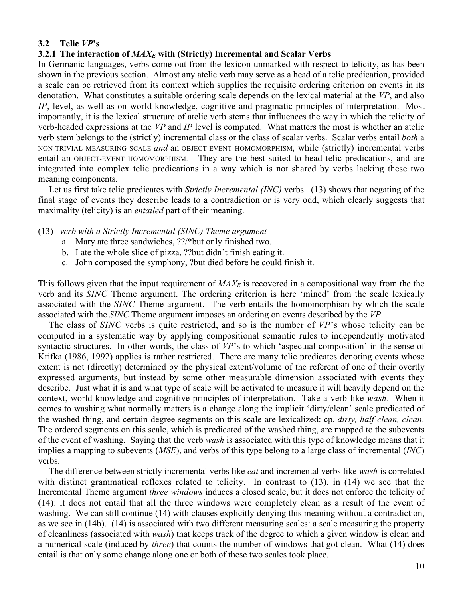# **3.2 Telic** *VP***'s**

# **3.2.1 The interaction of** *MAXE* **with (Strictly) Incremental and Scalar Verbs**

In Germanic languages, verbs come out from the lexicon unmarked with respect to telicity, as has been shown in the previous section. Almost any atelic verb may serve as a head of a telic predication, provided a scale can be retrieved from its context which supplies the requisite ordering criterion on events in its denotation. What constitutes a suitable ordering scale depends on the lexical material at the *VP*, and also *IP*, level, as well as on world knowledge, cognitive and pragmatic principles of interpretation. Most importantly, it is the lexical structure of atelic verb stems that influences the way in which the telicity of verb-headed expressions at the *VP* and *IP* level is computed. What matters the most is whether an atelic verb stem belongs to the (strictly) incremental class or the class of scalar verbs. Scalar verbs entail *both* a NON-TRIVIAL MEASURING SCALE *and* an OBJECT-EVENT HOMOMORPHISM, while (strictly) incremental verbs entail an OBJECT-EVENT HOMOMORPHISM. They are the best suited to head telic predications, and are integrated into complex telic predications in a way which is not shared by verbs lacking these two meaning components.

Let us first take telic predicates with *Strictly Incremental (INC)* verbs. (13) shows that negating of the final stage of events they describe leads to a contradiction or is very odd, which clearly suggests that maximality (telicity) is an *entailed* part of their meaning.

- (13) *verb with a Strictly Incremental (SINC) Theme argument*
	- a. Mary ate three sandwiches, ??/\*but only finished two.
	- b. I ate the whole slice of pizza, ??but didn't finish eating it.
	- c. John composed the symphony, ?but died before he could finish it.

This follows given that the input requirement of *MAXE* is recovered in a compositional way from the the verb and its *SINC* Theme argument. The ordering criterion is here 'mined' from the scale lexically associated with the *SINC* Theme argument. The verb entails the homomorphism by which the scale associated with the *SINC* Theme argument imposes an ordering on events described by the *VP*.

The class of *SINC* verbs is quite restricted, and so is the number of *VP*'s whose telicity can be computed in a systematic way by applying compositional semantic rules to independently motivated syntactic structures. In other words, the class of VP's to which 'aspectual composition' in the sense of Krifka (1986, 1992) applies is rather restricted. There are many telic predicates denoting events whose extent is not (directly) determined by the physical extent/volume of the referent of one of their overtly expressed arguments, but instead by some other measurable dimension associated with events they describe. Just what it is and what type of scale will be activated to measure it will heavily depend on the context, world knowledge and cognitive principles of interpretation. Take a verb like *wash*. When it comes to washing what normally matters is a change along the implicit 'dirty/clean' scale predicated of the washed thing, and certain degree segments on this scale are lexicalized: cp. *dirty, half-clean, clean*. The ordered segments on this scale, which is predicated of the washed thing, are mapped to the subevents of the event of washing. Saying that the verb *wash* is associated with this type of knowledge means that it implies a mapping to subevents (*MSE*), and verbs of this type belong to a large class of incremental (*INC*) verbs.

The difference between strictly incremental verbs like *eat* and incremental verbs like *wash* is correlated with distinct grammatical reflexes related to telicity. In contrast to  $(13)$ , in  $(14)$  we see that the Incremental Theme argument *three windows* induces a closed scale, but it does not enforce the telicity of (14): it does not entail that all the three windows were completely clean as a result of the event of washing. We can still continue (14) with clauses explicitly denying this meaning without a contradiction, as we see in (14b). (14) is associated with two different measuring scales: a scale measuring the property of cleanliness (associated with *wash*) that keeps track of the degree to which a given window is clean and a numerical scale (induced by *three*) that counts the number of windows that got clean. What (14) does entail is that only some change along one or both of these two scales took place.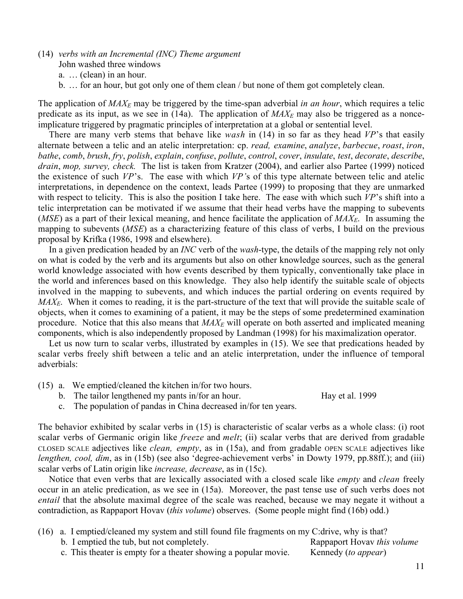- (14) *verbs with an Incremental (INC) Theme argument* John washed three windows
	- a. … (clean) in an hour.
	- b. … for an hour, but got only one of them clean / but none of them got completely clean.

The application of *MAXE* may be triggered by the time-span adverbial *in an hour*, which requires a telic predicate as its input, as we see in  $(14a)$ . The application of  $MAX_E$  may also be triggered as a nonceimplicature triggered by pragmatic principles of interpretation at a global or sentential level.

There are many verb stems that behave like *wash* in (14) in so far as they head *VP*'s that easily alternate between a telic and an atelic interpretation: cp. *read, examine*, *analyze*, *barbecue*, *roast*, *iron*, *bathe*, *comb*, *brush*, *fry*, *polish*, *explain*, *confuse*, *pollute*, *control*, *cover*, *insulate*, *test*, *decorate*, *describe*, *drain*, *mop, survey, check.* The list is taken from Kratzer (2004), and earlier also Partee (1999) noticed the existence of such *VP*'s. The ease with which *VP'*s of this type alternate between telic and atelic interpretations, in dependence on the context, leads Partee (1999) to proposing that they are unmarked with respect to telicity. This is also the position I take here. The ease with which such *VP*'s shift into a telic interpretation can be motivated if we assume that their head verbs have the mapping to subevents (*MSE*) as a part of their lexical meaning, and hence facilitate the application of *MAXE*. In assuming the mapping to subevents (*MSE*) as a characterizing feature of this class of verbs, I build on the previous proposal by Krifka (1986, 1998 and elsewhere).

In a given predication headed by an *INC* verb of the *wash*-type, the details of the mapping rely not only on what is coded by the verb and its arguments but also on other knowledge sources, such as the general world knowledge associated with how events described by them typically, conventionally take place in the world and inferences based on this knowledge. They also help identify the suitable scale of objects involved in the mapping to subevents, and which induces the partial ordering on events required by *MAXE*. When it comes to reading, it is the part-structure of the text that will provide the suitable scale of objects, when it comes to examining of a patient, it may be the steps of some predetermined examination procedure. Notice that this also means that *MAXE* will operate on both asserted and implicated meaning components, which is also independently proposed by Landman (1998) for his maximalization operator.

Let us now turn to scalar verbs, illustrated by examples in (15). We see that predications headed by scalar verbs freely shift between a telic and an atelic interpretation, under the influence of temporal adverbials:

- (15) a. We emptied/cleaned the kitchen in/for two hours.
	- b. The tailor lengthened my pants in/for an hour. Hay et al. 1999

c. The population of pandas in China decreased in/for ten years.

The behavior exhibited by scalar verbs in (15) is characteristic of scalar verbs as a whole class: (i) root scalar verbs of Germanic origin like *freeze* and *melt*; (ii) scalar verbs that are derived from gradable CLOSED SCALE adjectives like *clean, empty*, as in (15a), and from gradable OPEN SCALE adjectives like *lengthen, cool, dim, as in (15b) (see also 'degree-achievement verbs' in Dowty 1979, pp.88ff.); and (iii)* scalar verbs of Latin origin like *increase, decrease*, as in (15c).

Notice that even verbs that are lexically associated with a closed scale like *empty* and *clean* freely occur in an atelic predication, as we see in (15a). Moreover, the past tense use of such verbs does not *entail* that the absolute maximal degree of the scale was reached, because we may negate it without a contradiction, as Rappaport Hovav (*this volume*) observes. (Some people might find (16b) odd.)

- (16) a. I emptied/cleaned my system and still found file fragments on my C:drive, why is that?
	- b. I emptied the tub, but not completely. Rappaport Hovav *this volume*
	- c. This theater is empty for a theater showing a popular movie. Kennedy (*to appear*)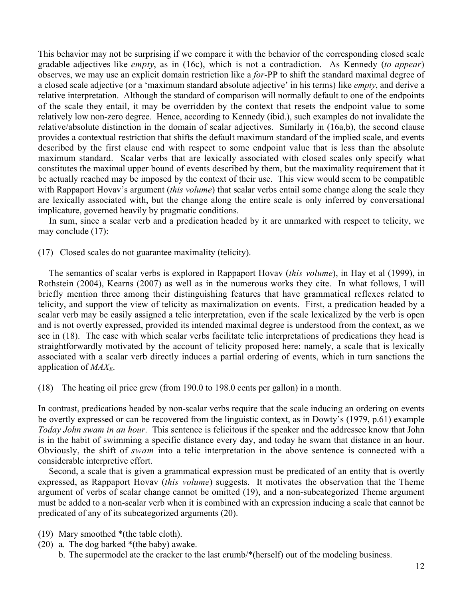This behavior may not be surprising if we compare it with the behavior of the corresponding closed scale gradable adjectives like *empty*, as in (16c), which is not a contradiction. As Kennedy (*to appear*) observes, we may use an explicit domain restriction like a *for*-PP to shift the standard maximal degree of a closed scale adjective (or a 'maximum standard absolute adjective' in his terms) like *empty*, and derive a relative interpretation. Although the standard of comparison will normally default to one of the endpoints of the scale they entail, it may be overridden by the context that resets the endpoint value to some relatively low non-zero degree. Hence, according to Kennedy (ibid.), such examples do not invalidate the relative/absolute distinction in the domain of scalar adjectives. Similarly in (16a,b), the second clause provides a contextual restriction that shifts the default maximum standard of the implied scale, and events described by the first clause end with respect to some endpoint value that is less than the absolute maximum standard. Scalar verbs that are lexically associated with closed scales only specify what constitutes the maximal upper bound of events described by them, but the maximality requirement that it be actually reached may be imposed by the context of their use. This view would seem to be compatible with Rappaport Hovav's argument (*this volume*) that scalar verbs entail some change along the scale they are lexically associated with, but the change along the entire scale is only inferred by conversational implicature, governed heavily by pragmatic conditions.

In sum, since a scalar verb and a predication headed by it are unmarked with respect to telicity, we may conclude (17):

(17) Closed scales do not guarantee maximality (telicity).

The semantics of scalar verbs is explored in Rappaport Hovav (*this volume*), in Hay et al (1999), in Rothstein (2004), Kearns (2007) as well as in the numerous works they cite. In what follows, I will briefly mention three among their distinguishing features that have grammatical reflexes related to telicity, and support the view of telicity as maximalization on events. First, a predication headed by a scalar verb may be easily assigned a telic interpretation, even if the scale lexicalized by the verb is open and is not overtly expressed, provided its intended maximal degree is understood from the context, as we see in (18). The ease with which scalar verbs facilitate telic interpretations of predications they head is straightforwardly motivated by the account of telicity proposed here: namely, a scale that is lexically associated with a scalar verb directly induces a partial ordering of events, which in turn sanctions the application of *MAXE*.

(18) The heating oil price grew (from 190.0 to 198.0 cents per gallon) in a month.

In contrast, predications headed by non-scalar verbs require that the scale inducing an ordering on events be overtly expressed or can be recovered from the linguistic context, as in Dowty's (1979, p.61) example *Today John swam in an hour*. This sentence is felicitous if the speaker and the addressee know that John is in the habit of swimming a specific distance every day, and today he swam that distance in an hour. Obviously, the shift of *swam* into a telic interpretation in the above sentence is connected with a considerable interpretive effort.

Second, a scale that is given a grammatical expression must be predicated of an entity that is overtly expressed, as Rappaport Hovav (*this volume*) suggests. It motivates the observation that the Theme argument of verbs of scalar change cannot be omitted (19), and a non-subcategorized Theme argument must be added to a non-scalar verb when it is combined with an expression inducing a scale that cannot be predicated of any of its subcategorized arguments (20).

- (19) Mary smoothed \*(the table cloth).
- (20) a. The dog barked \*(the baby) awake.
	- b. The supermodel ate the cracker to the last crumb/\*(herself) out of the modeling business.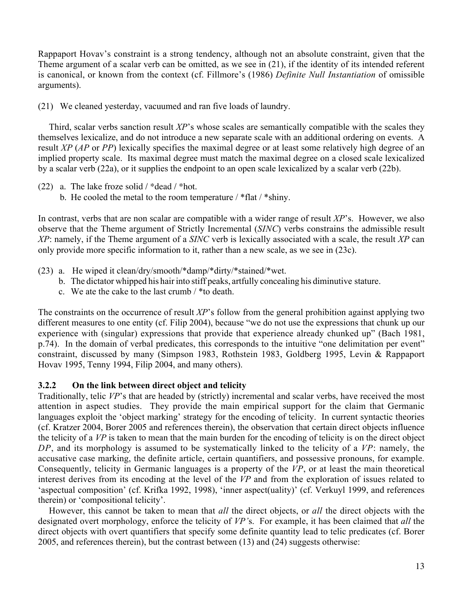Rappaport Hovav's constraint is a strong tendency, although not an absolute constraint, given that the Theme argument of a scalar verb can be omitted, as we see in (21), if the identity of its intended referent is canonical, or known from the context (cf. Fillmore's (1986) *Definite Null Instantiation* of omissible arguments).

(21) We cleaned yesterday, vacuumed and ran five loads of laundry.

Third, scalar verbs sanction result *XP*'s whose scales are semantically compatible with the scales they themselves lexicalize, and do not introduce a new separate scale with an additional ordering on events. A result *XP* (*AP* or *PP*) lexically specifies the maximal degree or at least some relatively high degree of an implied property scale. Its maximal degree must match the maximal degree on a closed scale lexicalized by a scalar verb (22a), or it supplies the endpoint to an open scale lexicalized by a scalar verb (22b).

- (22) a. The lake froze solid  $/$  \*dead  $/$  \*hot.
	- b. He cooled the metal to the room temperature / \*flat / \*shiny.

In contrast, verbs that are non scalar are compatible with a wider range of result *XP*'s. However, we also observe that the Theme argument of Strictly Incremental (*SINC*) verbs constrains the admissible result *XP*: namely, if the Theme argument of a *SINC* verb is lexically associated with a scale, the result *XP* can only provide more specific information to it, rather than a new scale, as we see in (23c).

- (23) a. He wiped it clean/dry/smooth/\*damp/\*dirty/\*stained/\*wet.
	- b. The dictator whipped his hair into stiff peaks, artfully concealing his diminutive stature.
	- c. We ate the cake to the last crumb / \*to death.

The constraints on the occurrence of result *XP*'s follow from the general prohibition against applying two different measures to one entity (cf. Filip 2004), because "we do not use the expressions that chunk up our experience with (singular) expressions that provide that experience already chunked up" (Bach 1981, p.74). In the domain of verbal predicates, this corresponds to the intuitive "one delimitation per event" constraint, discussed by many (Simpson 1983, Rothstein 1983, Goldberg 1995, Levin & Rappaport Hovav 1995, Tenny 1994, Filip 2004, and many others).

# **3.2.2 On the link between direct object and telicity**

Traditionally, telic *VP*'s that are headed by (strictly) incremental and scalar verbs, have received the most attention in aspect studies. They provide the main empirical support for the claim that Germanic languages exploit the 'object marking' strategy for the encoding of telicity. In current syntactic theories (cf. Kratzer 2004, Borer 2005 and references therein), the observation that certain direct objects influence the telicity of a *VP* is taken to mean that the main burden for the encoding of telicity is on the direct object *DP*, and its morphology is assumed to be systematically linked to the telicity of a *VP*: namely, the accusative case marking, the definite article, certain quantifiers, and possessive pronouns, for example. Consequently, telicity in Germanic languages is a property of the *VP*, or at least the main theoretical interest derives from its encoding at the level of the *VP* and from the exploration of issues related to 'aspectual composition' (cf. Krifka 1992, 1998), 'inner aspect(uality)' (cf. Verkuyl 1999, and references therein) or 'compositional telicity'.

However, this cannot be taken to mean that *all* the direct objects, or *all* the direct objects with the designated overt morphology, enforce the telicity of *VP'*s. For example, it has been claimed that *all* the direct objects with overt quantifiers that specify some definite quantity lead to telic predicates (cf. Borer 2005, and references therein), but the contrast between (13) and (24) suggests otherwise: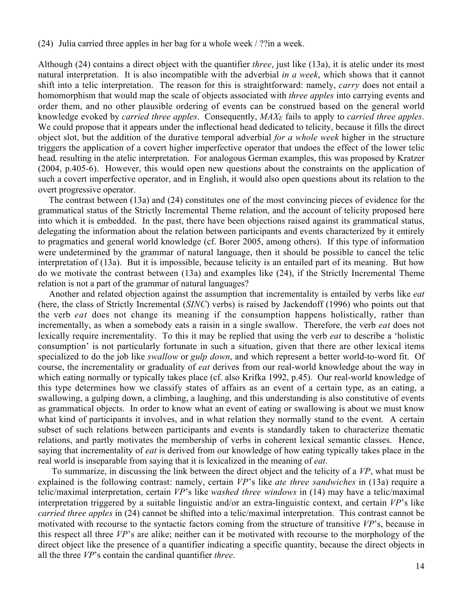(24) Julia carried three apples in her bag for a whole week / ??in a week.

Although (24) contains a direct object with the quantifier *three*, just like (13a), it is atelic under its most natural interpretation. It is also incompatible with the adverbial *in a week*, which shows that it cannot shift into a telic interpretation. The reason for this is straightforward: namely, *carry* does not entail a homomorphism that would map the scale of objects associated with *three apples* into carrying events and order them, and no other plausible ordering of events can be construed based on the general world knowledge evoked by *carried three apples*. Consequently, *MAXE* fails to apply to *carried three apples*. We could propose that it appears under the inflectional head dedicated to telicity, because it fills the direct object slot, but the addition of the durative temporal adverbial *for a whole week* higher in the structure triggers the application of a covert higher imperfective operator that undoes the effect of the lower telic head*,* resulting in the atelic interpretation. For analogous German examples, this was proposed by Kratzer (2004, p.405-6). However, this would open new questions about the constraints on the application of such a covert imperfective operator, and in English, it would also open questions about its relation to the overt progressive operator.

The contrast between (13a) and (24) constitutes one of the most convincing pieces of evidence for the grammatical status of the Strictly Incremental Theme relation, and the account of telicity proposed here into which it is embedded. In the past, there have been objections raised against its grammatical status, delegating the information about the relation between participants and events characterized by it entirely to pragmatics and general world knowledge (cf. Borer 2005, among others). If this type of information were undetermined by the grammar of natural language, then it should be possible to cancel the telic interpretation of (13a). But it is impossible, because telicity is an entailed part of its meaning. But how do we motivate the contrast between (13a) and examples like (24), if the Strictly Incremental Theme relation is not a part of the grammar of natural languages?

Another and related objection against the assumption that incrementality is entailed by verbs like *eat* (here, the class of Strictly Incremental (*SINC*) verbs) is raised by Jackendoff (1996) who points out that the verb *eat* does not change its meaning if the consumption happens holistically, rather than incrementally, as when a somebody eats a raisin in a single swallow. Therefore, the verb *eat* does not lexically require incrementality. To this it may be replied that using the verb *eat* to describe a 'holistic consumption' is not particularly fortunate in such a situation, given that there are other lexical items specialized to do the job like *swallow* or *gulp down*, and which represent a better world-to-word fit. Of course, the incrementality or graduality of *eat* derives from our real-world knowledge about the way in which eating normally or typically takes place (cf. also Krifka 1992, p.45). Our real-world knowledge of this type determines how we classify states of affairs as an event of a certain type, as an eating, a swallowing, a gulping down, a climbing, a laughing, and this understanding is also constitutive of events as grammatical objects. In order to know what an event of eating or swallowing is about we must know what kind of participants it involves, and in what relation they normally stand to the event. A certain subset of such relations between participants and events is standardly taken to characterize thematic relations, and partly motivates the membership of verbs in coherent lexical semantic classes. Hence, saying that incrementality of *eat* is derived from our knowledge of how eating typically takes place in the real world is inseparable from saying that it is lexicalized in the meaning of *eat*.

To summarize, in discussing the link between the direct object and the telicity of a *VP*, what must be explained is the following contrast: namely, certain *VP*'s like *ate three sandwiches* in (13a) require a telic/maximal interpretation, certain *VP*'s like *washed three windows* in (14) may have a telic/maximal interpretation triggered by a suitable linguistic and/or an extra-linguistic context, and certain *VP*'s like *carried three apples* in (24) cannot be shifted into a telic/maximal interpretation. This contrast cannot be motivated with recourse to the syntactic factors coming from the structure of transitive *VP*'s, because in this respect all three *VP*'s are alike; neither can it be motivated with recourse to the morphology of the direct object like the presence of a quantifier indicating a specific quantity, because the direct objects in all the three *VP*'s contain the cardinal quantifier *three*.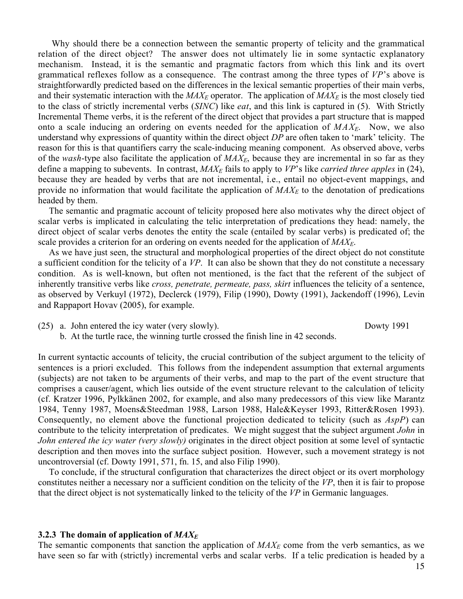Why should there be a connection between the semantic property of telicity and the grammatical relation of the direct object? The answer does not ultimately lie in some syntactic explanatory mechanism. Instead, it is the semantic and pragmatic factors from which this link and its overt grammatical reflexes follow as a consequence. The contrast among the three types of *VP*'s above is straightforwardly predicted based on the differences in the lexical semantic properties of their main verbs, and their systematic interaction with the *MAXE* operator. The application of *MAXE* is the most closely tied to the class of strictly incremental verbs (*SINC*) like *eat*, and this link is captured in (5). With Strictly Incremental Theme verbs, it is the referent of the direct object that provides a part structure that is mapped onto a scale inducing an ordering on events needed for the application of *MAXE*. Now, we also understand why expressions of quantity within the direct object *DP* are often taken to 'mark' telicity. The reason for this is that quantifiers carry the scale-inducing meaning component. As observed above, verbs of the *wash*-type also facilitate the application of *MAXE*, because they are incremental in so far as they define a mapping to subevents. In contrast, *MAXE* fails to apply to *VP*'s like *carried three apples* in (24), because they are headed by verbs that are not incremental, i.e., entail no object-event mappings, and provide no information that would facilitate the application of *MAXE* to the denotation of predications headed by them.

The semantic and pragmatic account of telicity proposed here also motivates why the direct object of scalar verbs is implicated in calculating the telic interpretation of predications they head: namely, the direct object of scalar verbs denotes the entity the scale (entailed by scalar verbs) is predicated of; the scale provides a criterion for an ordering on events needed for the application of *MAXE*.

As we have just seen, the structural and morphological properties of the direct object do not constitute a sufficient condition for the telicity of a *VP*. It can also be shown that they do not constitute a necessary condition. As is well-known, but often not mentioned, is the fact that the referent of the subject of inherently transitive verbs like *cross, penetrate, permeate, pass, skirt* influences the telicity of a sentence, as observed by Verkuyl (1972), Declerck (1979), Filip (1990), Dowty (1991), Jackendoff (1996), Levin and Rappaport Hovav (2005), for example.

(25) a. John entered the icy water (very slowly). Dowty 1991

b. At the turtle race, the winning turtle crossed the finish line in 42 seconds.

In current syntactic accounts of telicity, the crucial contribution of the subject argument to the telicity of sentences is a priori excluded. This follows from the independent assumption that external arguments (subjects) are not taken to be arguments of their verbs, and map to the part of the event structure that comprises a causer/agent, which lies outside of the event structure relevant to the calculation of telicity (cf. Kratzer 1996, Pylkkänen 2002, for example, and also many predecessors of this view like Marantz 1984, Tenny 1987, Moens&Steedman 1988, Larson 1988, Hale&Keyser 1993, Ritter&Rosen 1993). Consequently, no element above the functional projection dedicated to telicity (such as *AspP*) can contribute to the telicity interpretation of predicates. We might suggest that the subject argument *John* in *John entered the icy water (very slowly)* originates in the direct object position at some level of syntactic description and then moves into the surface subject position. However, such a movement strategy is not uncontroversial (cf. Dowty 1991, 571, fn. 15, and also Filip 1990).

To conclude, if the structural configuration that characterizes the direct object or its overt morphology constitutes neither a necessary nor a sufficient condition on the telicity of the *VP*, then it is fair to propose that the direct object is not systematically linked to the telicity of the *VP* in Germanic languages.

#### **3.2.3 The domain of application of** *MAXE*

The semantic components that sanction the application of  $MAX_E$  come from the verb semantics, as we have seen so far with (strictly) incremental verbs and scalar verbs. If a telic predication is headed by a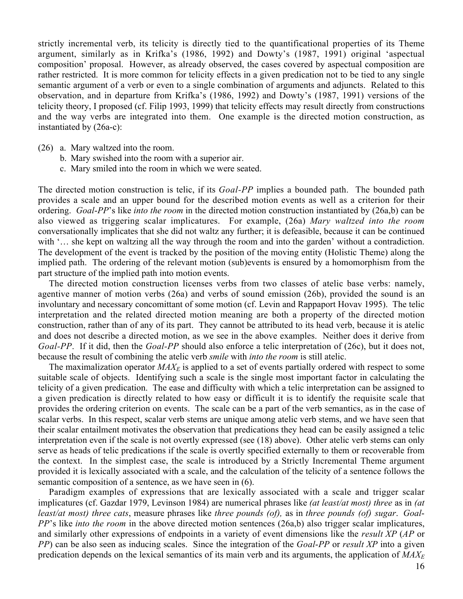strictly incremental verb, its telicity is directly tied to the quantificational properties of its Theme argument, similarly as in Krifka's (1986, 1992) and Dowty's (1987, 1991) original 'aspectual composition' proposal. However, as already observed, the cases covered by aspectual composition are rather restricted. It is more common for telicity effects in a given predication not to be tied to any single semantic argument of a verb or even to a single combination of arguments and adjuncts. Related to this observation, and in departure from Krifka's (1986, 1992) and Dowty's (1987, 1991) versions of the telicity theory, I proposed (cf. Filip 1993, 1999) that telicity effects may result directly from constructions and the way verbs are integrated into them. One example is the directed motion construction, as instantiated by (26a-c):

- (26) a. Mary waltzed into the room.
	- b. Mary swished into the room with a superior air.
	- c. Mary smiled into the room in which we were seated.

The directed motion construction is telic, if its *Goal-PP* implies a bounded path. The bounded path provides a scale and an upper bound for the described motion events as well as a criterion for their ordering. *Goal*-*PP*'s like *into the room* in the directed motion construction instantiated by (26a,b) can be also viewed as triggering scalar implicatures. For example, (26a) *Mary waltzed into the room* conversationally implicates that she did not waltz any further; it is defeasible, because it can be continued with '... she kept on waltzing all the way through the room and into the garden' without a contradiction. The development of the event is tracked by the position of the moving entity (Holistic Theme) along the implied path. The ordering of the relevant motion (sub)events is ensured by a homomorphism from the part structure of the implied path into motion events.

The directed motion construction licenses verbs from two classes of atelic base verbs: namely, agentive manner of motion verbs (26a) and verbs of sound emission (26b), provided the sound is an involuntary and necessary concomittant of some motion (cf. Levin and Rappaport Hovav 1995). The telic interpretation and the related directed motion meaning are both a property of the directed motion construction, rather than of any of its part. They cannot be attributed to its head verb, because it is atelic and does not describe a directed motion, as we see in the above examples. Neither does it derive from *Goal-PP*. If it did, then the *Goal-PP* should also enforce a telic interpretation of (26c), but it does not, because the result of combining the atelic verb *smile* with *into the room* is still atelic.

The maximalization operator *MAXE* is applied to a set of events partially ordered with respect to some suitable scale of objects. Identifying such a scale is the single most important factor in calculating the telicity of a given predication. The ease and difficulty with which a telic interpretation can be assigned to a given predication is directly related to how easy or difficult it is to identify the requisite scale that provides the ordering criterion on events. The scale can be a part of the verb semantics, as in the case of scalar verbs. In this respect, scalar verb stems are unique among atelic verb stems, and we have seen that their scalar entailment motivates the observation that predications they head can be easily assigned a telic interpretation even if the scale is not overtly expressed (see (18) above). Other atelic verb stems can only serve as heads of telic predications if the scale is overtly specified externally to them or recoverable from the context. In the simplest case, the scale is introduced by a Strictly Incremental Theme argument provided it is lexically associated with a scale, and the calculation of the telicity of a sentence follows the semantic composition of a sentence, as we have seen in (6).

Paradigm examples of expressions that are lexically associated with a scale and trigger scalar implicatures (cf. Gazdar 1979, Levinson 1984) are numerical phrases like *(at least/at most) three* as in *(at least/at most) three cats*, measure phrases like *three pounds (of),* as in *three pounds (of) sugar*. *Goal*-*PP*'s like *into the room* in the above directed motion sentences (26a,b) also trigger scalar implicatures, and similarly other expressions of endpoints in a variety of event dimensions like the *result XP* (*AP* or *PP*) can be also seen as inducing scales. Since the integration of the *Goal*-*PP* or *result XP* into a given predication depends on the lexical semantics of its main verb and its arguments, the application of *MAXE*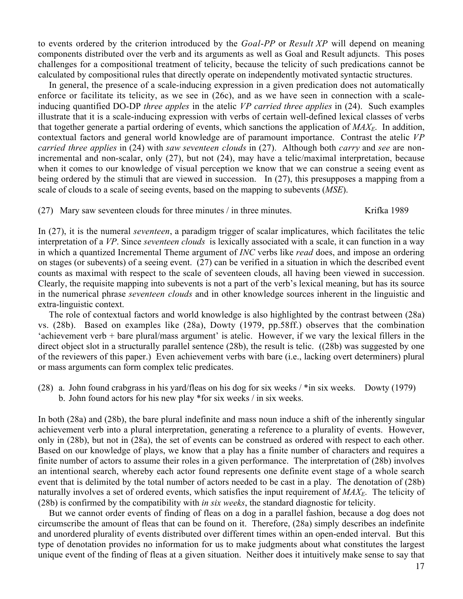to events ordered by the criterion introduced by the *Goal*-*PP* or *Result XP* will depend on meaning components distributed over the verb and its arguments as well as Goal and Result adjuncts. This poses challenges for a compositional treatment of telicity, because the telicity of such predications cannot be calculated by compositional rules that directly operate on independently motivated syntactic structures.

In general, the presence of a scale-inducing expression in a given predication does not automatically enforce or facilitate its telicity, as we see in (26c), and as we have seen in connection with a scaleinducing quantified DO-DP *three apples* in the atelic *VP carried three applies* in (24). Such examples illustrate that it is a scale-inducing expression with verbs of certain well-defined lexical classes of verbs that together generate a partial ordering of events, which sanctions the application of *MAXE*. In addition, contextual factors and general world knowledge are of paramount importance. Contrast the atelic *VP carried three applies* in (24) with *saw seventeen clouds* in (27). Although both *carry* and *see* are nonincremental and non-scalar, only (27), but not (24), may have a telic/maximal interpretation, because when it comes to our knowledge of visual perception we know that we can construe a seeing event as being ordered by the stimuli that are viewed in succession. In (27), this presupposes a mapping from a scale of clouds to a scale of seeing events, based on the mapping to subevents (*MSE*).

(27) Mary saw seventeen clouds for three minutes / in three minutes. Krifka 1989

In (27), it is the numeral *seventeen*, a paradigm trigger of scalar implicatures, which facilitates the telic interpretation of a *VP*. Since *seventeen clouds* is lexically associated with a scale, it can function in a way in which a quantized Incremental Theme argument of *INC* verbs like *read* does, and impose an ordering on stages (or subevents) of a seeing event. (27) can be verified in a situation in which the described event counts as maximal with respect to the scale of seventeen clouds, all having been viewed in succession. Clearly, the requisite mapping into subevents is not a part of the verb's lexical meaning, but has its source in the numerical phrase *seventeen clouds* and in other knowledge sources inherent in the linguistic and extra-linguistic context.

The role of contextual factors and world knowledge is also highlighted by the contrast between (28a) vs. (28b). Based on examples like (28a), Dowty (1979, pp.58ff.) observes that the combination 'achievement verb + bare plural/mass argument' is atelic. However, if we vary the lexical fillers in the direct object slot in a structurally parallel sentence (28b), the result is telic. ((28b) was suggested by one of the reviewers of this paper.) Even achievement verbs with bare (i.e., lacking overt determiners) plural or mass arguments can form complex telic predicates.

(28) a. John found crabgrass in his yard/fleas on his dog for six weeks / \*in six weeks. Dowty (1979) b. John found actors for his new play \*for six weeks / in six weeks.

In both (28a) and (28b), the bare plural indefinite and mass noun induce a shift of the inherently singular achievement verb into a plural interpretation, generating a reference to a plurality of events. However, only in (28b), but not in (28a), the set of events can be construed as ordered with respect to each other. Based on our knowledge of plays, we know that a play has a finite number of characters and requires a finite number of actors to assume their roles in a given performance. The interpretation of (28b) involves an intentional search, whereby each actor found represents one definite event stage of a whole search event that is delimited by the total number of actors needed to be cast in a play. The denotation of (28b) naturally involves a set of ordered events, which satisfies the input requirement of *MAXE*. The telicity of (28b) is confirmed by the compatibility with *in six weeks*, the standard diagnostic for telicity.

But we cannot order events of finding of fleas on a dog in a parallel fashion, because a dog does not circumscribe the amount of fleas that can be found on it. Therefore, (28a) simply describes an indefinite and unordered plurality of events distributed over different times within an open-ended interval. But this type of denotation provides no information for us to make judgments about what constitutes the largest unique event of the finding of fleas at a given situation. Neither does it intuitively make sense to say that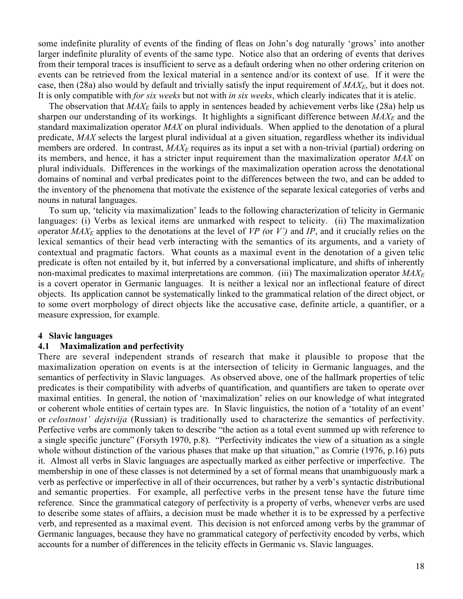some indefinite plurality of events of the finding of fleas on John's dog naturally 'grows' into another larger indefinite plurality of events of the same type. Notice also that an ordering of events that derives from their temporal traces is insufficient to serve as a default ordering when no other ordering criterion on events can be retrieved from the lexical material in a sentence and/or its context of use. If it were the case, then (28a) also would by default and trivially satisfy the input requirement of *MAXE*, but it does not. It is only compatible with *for six weeks* but not with *in six weeks*, which clearly indicates that it is atelic.

The observation that *MAXE* fails to apply in sentences headed by achievement verbs like (28a) help us sharpen our understanding of its workings. It highlights a significant difference between  $MAX_E$  and the standard maximalization operator *MAX* on plural individuals. When applied to the denotation of a plural predicate, *MAX* selects the largest plural individual at a given situation, regardless whether its individual members are ordered. In contrast,  $MAX_E$  requires as its input a set with a non-trivial (partial) ordering on its members, and hence, it has a stricter input requirement than the maximalization operator *MAX* on plural individuals. Differences in the workings of the maximalization operation across the denotational domains of nominal and verbal predicates point to the differences between the two, and can be added to the inventory of the phenomena that motivate the existence of the separate lexical categories of verbs and nouns in natural languages.

To sum up, 'telicity via maximalization' leads to the following characterization of telicity in Germanic languages: (i) Verbs as lexical items are unmarked with respect to telicity. (ii) The maximalization operator *MAXE* applies to the denotations at the level of *VP (*or *V')* and *IP*, and it crucially relies on the lexical semantics of their head verb interacting with the semantics of its arguments, and a variety of contextual and pragmatic factors. What counts as a maximal event in the denotation of a given telic predicate is often not entailed by it, but inferred by a conversational implicature, and shifts of inherently non-maximal predicates to maximal interpretations are common. (iii) The maximalization operator *MAX<sub>E</sub>* is a covert operator in Germanic languages. It is neither a lexical nor an inflectional feature of direct objects. Its application cannot be systematically linked to the grammatical relation of the direct object, or to some overt morphology of direct objects like the accusative case, definite article, a quantifier, or a measure expression, for example.

# **4 Slavic languages**

# **4.1 Maximalization and perfectivity**

There are several independent strands of research that make it plausible to propose that the maximalization operation on events is at the intersection of telicity in Germanic languages, and the semantics of perfectivity in Slavic languages. As observed above, one of the hallmark properties of telic predicates is their compatibility with adverbs of quantification, and quantifiers are taken to operate over maximal entities. In general, the notion of 'maximalization' relies on our knowledge of what integrated or coherent whole entities of certain types are. In Slavic linguistics, the notion of a 'totality of an event' or *celostnost' dejstvija* (Russian) is traditionally used to characterize the semantics of perfectivity. Perfective verbs are commonly taken to describe "the action as a total event summed up with reference to a single specific juncture" (Forsyth 1970, p.8). "Perfectivity indicates the view of a situation as a single whole without distinction of the various phases that make up that situation," as Comrie (1976, p.16) puts it. Almost all verbs in Slavic languages are aspectually marked as either perfective or imperfective. The membership in one of these classes is not determined by a set of formal means that unambiguously mark a verb as perfective or imperfective in all of their occurrences, but rather by a verb's syntactic distributional and semantic properties. For example, all perfective verbs in the present tense have the future time reference. Since the grammatical category of perfectivity is a property of verbs, whenever verbs are used to describe some states of affairs, a decision must be made whether it is to be expressed by a perfective verb, and represented as a maximal event. This decision is not enforced among verbs by the grammar of Germanic languages, because they have no grammatical category of perfectivity encoded by verbs, which accounts for a number of differences in the telicity effects in Germanic vs. Slavic languages.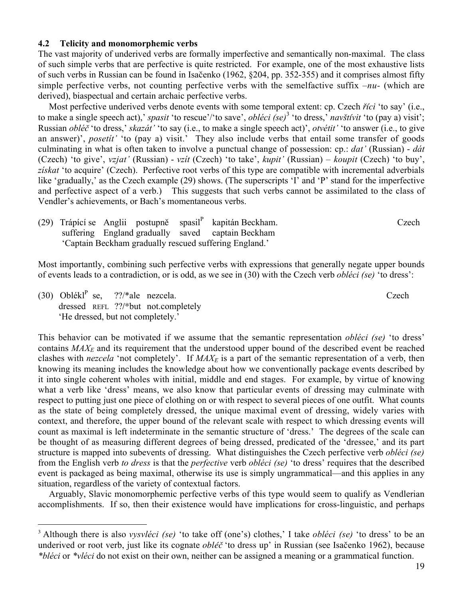# **4.2 Telicity and monomorphemic verbs**

The vast majority of underived verbs are formally imperfective and semantically non-maximal. The class of such simple verbs that are perfective is quite restricted. For example, one of the most exhaustive lists of such verbs in Russian can be found in Isaãenko (1962, §204, pp. 352-355) and it comprises almost fifty simple perfective verbs, not counting perfective verbs with the semelfactive suffix *–nu-* (which are derived), biaspectual and certain archaic perfective verbs.

Most perfective underived verbs denote events with some temporal extent: cp. Czech *fiíci* 'to say' (i.e., to make a single speech act),' *spasit* 'to rescue'/'to save', *obléci (se)*<sup>3</sup> 'to dress,' *nav‰tívit* 'to (pay a) visit'; Russian *obléã* 'to dress,' *skazát'* 'to say (i.e., to make a single speech act)', *otvétit'* 'to answer (i.e., to give an answer)', *posetit'* 'to (pay a) visit.' They also include verbs that entail some transfer of goods culminating in what is often taken to involve a punctual change of possession: cp.: *dat'* (Russian) - *dát* (Czech) 'to give', *vzjat'* (Russian) - *vzít* (Czech) 'to take', *kupit'* (Russian) – *koupit* (Czech) 'to buy', *získat* 'to acquire' (Czech). Perfective root verbs of this type are compatible with incremental adverbials like 'gradually,' as the Czech example (29) shows. (The superscripts 'I' and 'P' stand for the imperfective and perfective aspect of a verb.) This suggests that such verbs cannot be assimilated to the class of Vendler's achievements, or Bach's momentaneous verbs.

(29) Trápící se Anglii postupně spasil<sup>P</sup> kapitán Beckham. Czech suffering England gradually saved captain Beckham 'Captain Beckham gradually rescued suffering England.'

Most importantly, combining such perfective verbs with expressions that generally negate upper bounds of events leads to a contradiction, or is odd, as we see in (30) with the Czech verb *obléci (se)* 'to dress':

(30) Oblékl<sup>P</sup> se, ??/\*ale nezcela. Czech dressed REFL ??/\*but not.completely 'He dressed, but not completely.'

This behavior can be motivated if we assume that the semantic representation *obléci (se)* 'to dress' contains *MAXE* and its requirement that the understood upper bound of the described event be reached clashes with *nezcela* 'not completely'. If *MAXE* is a part of the semantic representation of a verb, then knowing its meaning includes the knowledge about how we conventionally package events described by it into single coherent wholes with initial, middle and end stages. For example, by virtue of knowing what a verb like 'dress' means, we also know that particular events of dressing may culminate with respect to putting just one piece of clothing on or with respect to several pieces of one outfit. What counts as the state of being completely dressed, the unique maximal event of dressing, widely varies with context, and therefore, the upper bound of the relevant scale with respect to which dressing events will count as maximal is left indeterminate in the semantic structure of 'dress.' The degrees of the scale can be thought of as measuring different degrees of being dressed, predicated of the 'dressee,' and its part structure is mapped into subevents of dressing. What distinguishes the Czech perfective verb *obléci (se)* from the English verb *to dress* is that the *perfective* verb *obléci (se)* 'to dress' requires that the described event is packaged as being maximal, otherwise its use is simply ungrammatical—and this applies in any situation, regardless of the variety of contextual factors.

Arguably, Slavic monomorphemic perfective verbs of this type would seem to qualify as Vendlerian accomplishments. If so, then their existence would have implications for cross-linguistic, and perhaps

 <sup>3</sup> Although there is also *vysvléci (se)* 'to take off (one's) clothes,' I take *obléci (se)* 'to dress' to be an underived or root verb, just like its cognate *obléã* 'to dress up' in Russian (see Isaãenko 1962), because *\*bléci* or *\*vléci* do not exist on their own, neither can be assigned a meaning or a grammatical function.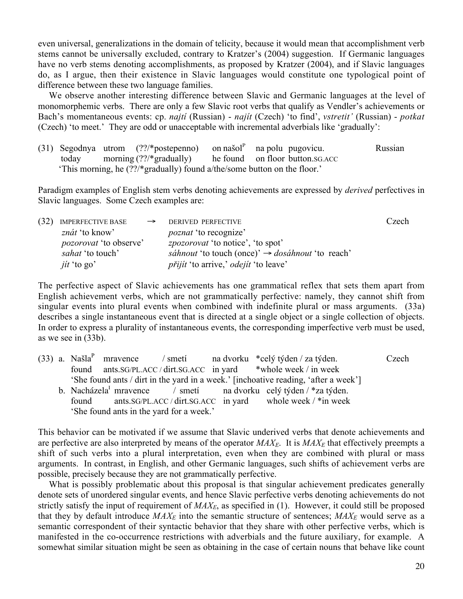even universal, generalizations in the domain of telicity, because it would mean that accomplishment verb stems cannot be universally excluded, contrary to Kratzer's (2004) suggestion. If Germanic languages have no verb stems denoting accomplishments, as proposed by Kratzer (2004), and if Slavic languages do, as I argue, then their existence in Slavic languages would constitute one typological point of difference between these two language families.

We observe another interesting difference between Slavic and Germanic languages at the level of monomorphemic verbs. There are only a few Slavic root verbs that qualify as Vendler's achievements or Bach's momentaneous events: cp. *najtí* (Russian) - *najít* (Czech) 'to find', *vstretit'* (Russian) - *potkat* (Czech) 'to meet.' They are odd or unacceptable with incremental adverbials like 'gradually':

(31) Segodnya utrom  $(??/*postepenno)$  on našol<sup>p</sup> na polu pugovicu. Russian today morning (??/\*gradually) he found on floor button.sg.ACC 'This morning, he (??/\*gradually) found a/the/some button on the floor.'

Paradigm examples of English stem verbs denoting achievements are expressed by *derived* perfectives in Slavic languages. Some Czech examples are:

| (32) | <b>IMPERFECTIVE BASE</b>      | $\rightarrow$ | <b>DERIVED PERFECTIVE</b>                                                  | Czech |
|------|-------------------------------|---------------|----------------------------------------------------------------------------|-------|
|      | znát 'to know'                |               | <i>poznat</i> 'to recognize'                                               |       |
|      | <i>pozorovat</i> 'to observe' |               | <i>zpozorovat</i> 'to notice', 'to spot'                                   |       |
|      | sahat 'to touch'              |               | <i>sáhnout</i> 'to touch (once)' $\rightarrow$ <i>dosáhnout</i> 'to reach' |       |
|      | $\int$ <i>j</i> $\int$ to go' |               | <i>přijít</i> 'to arrive,' <i>odejít</i> 'to leave'                        |       |

The perfective aspect of Slavic achievements has one grammatical reflex that sets them apart from English achievement verbs, which are not grammatically perfective: namely, they cannot shift from singular events into plural events when combined with indefinite plural or mass arguments. (33a) describes a single instantaneous event that is directed at a single object or a single collection of objects. In order to express a plurality of instantaneous events, the corresponding imperfective verb must be used, as we see in (33b).

|  |                                                                                     |  |                                          |  | (33) a. Našla <sup>P</sup> mravence / smetí na dvorku *celý týden / za týden. | Czech |
|--|-------------------------------------------------------------------------------------|--|------------------------------------------|--|-------------------------------------------------------------------------------|-------|
|  |                                                                                     |  |                                          |  | found ants.SG/PL.ACC / dirt.SG.ACC in yard *whole week / in week              |       |
|  | 'She found ants / dirt in the yard in a week.' [inchoative reading, 'after a week'] |  |                                          |  |                                                                               |       |
|  |                                                                                     |  |                                          |  | b. Nacházela <sup>I</sup> mravence / smetí na dvorku celý týden / *za týden.  |       |
|  |                                                                                     |  |                                          |  | found ants.SG/PL.ACC / dirt.SG.ACC in yard whole week / *in week              |       |
|  |                                                                                     |  | 'She found ants in the yard for a week.' |  |                                                                               |       |

This behavior can be motivated if we assume that Slavic underived verbs that denote achievements and are perfective are also interpreted by means of the operator  $MAX_E$ . It is  $MAX_E$  that effectively preempts a shift of such verbs into a plural interpretation, even when they are combined with plural or mass arguments. In contrast, in English, and other Germanic languages, such shifts of achievement verbs are possible, precisely because they are not grammatically perfective.

What is possibly problematic about this proposal is that singular achievement predicates generally denote sets of unordered singular events, and hence Slavic perfective verbs denoting achievements do not strictly satisfy the input of requirement of *MAXE*, as specified in (1). However, it could still be proposed that they by default introduce  $MAX_E$  into the semantic structure of sentences;  $MAX_E$  would serve as a semantic correspondent of their syntactic behavior that they share with other perfective verbs, which is manifested in the co-occurrence restrictions with adverbials and the future auxiliary, for example. A somewhat similar situation might be seen as obtaining in the case of certain nouns that behave like count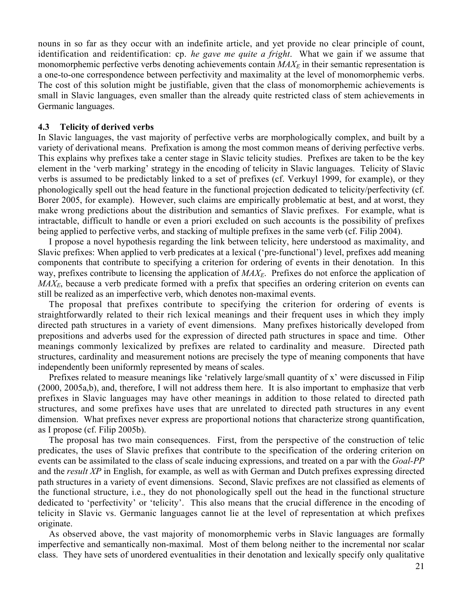nouns in so far as they occur with an indefinite article, and yet provide no clear principle of count, identification and reidentification: cp. *he gave me quite a fright*. What we gain if we assume that monomorphemic perfective verbs denoting achievements contain *MAXE* in their semantic representation is a one-to-one correspondence between perfectivity and maximality at the level of monomorphemic verbs. The cost of this solution might be justifiable, given that the class of monomorphemic achievements is small in Slavic languages, even smaller than the already quite restricted class of stem achievements in Germanic languages.

#### **4.3 Telicity of derived verbs**

In Slavic languages, the vast majority of perfective verbs are morphologically complex, and built by a variety of derivational means. Prefixation is among the most common means of deriving perfective verbs. This explains why prefixes take a center stage in Slavic telicity studies. Prefixes are taken to be the key element in the 'verb marking' strategy in the encoding of telicity in Slavic languages. Telicity of Slavic verbs is assumed to be predictably linked to a set of prefixes (cf. Verkuyl 1999, for example), or they phonologically spell out the head feature in the functional projection dedicated to telicity/perfectivity (cf. Borer 2005, for example). However, such claims are empirically problematic at best, and at worst, they make wrong predictions about the distribution and semantics of Slavic prefixes. For example, what is intractable, difficult to handle or even a priori excluded on such accounts is the possibility of prefixes being applied to perfective verbs, and stacking of multiple prefixes in the same verb (cf. Filip 2004).

I propose a novel hypothesis regarding the link between telicity, here understood as maximality, and Slavic prefixes: When applied to verb predicates at a lexical ('pre-functional') level, prefixes add meaning components that contribute to specifying a criterion for ordering of events in their denotation. In this way, prefixes contribute to licensing the application of *MAXE*. Prefixes do not enforce the application of *MAXE*, because a verb predicate formed with a prefix that specifies an ordering criterion on events can still be realized as an imperfective verb, which denotes non-maximal events.

The proposal that prefixes contribute to specifying the criterion for ordering of events is straightforwardly related to their rich lexical meanings and their frequent uses in which they imply directed path structures in a variety of event dimensions. Many prefixes historically developed from prepositions and adverbs used for the expression of directed path structures in space and time. Other meanings commonly lexicalized by prefixes are related to cardinality and measure. Directed path structures, cardinality and measurement notions are precisely the type of meaning components that have independently been uniformly represented by means of scales.

Prefixes related to measure meanings like 'relatively large/small quantity of x' were discussed in Filip (2000, 2005a,b), and, therefore, I will not address them here. It is also important to emphasize that verb prefixes in Slavic languages may have other meanings in addition to those related to directed path structures, and some prefixes have uses that are unrelated to directed path structures in any event dimension. What prefixes never express are proportional notions that characterize strong quantification, as I propose (cf. Filip 2005b).

The proposal has two main consequences. First, from the perspective of the construction of telic predicates, the uses of Slavic prefixes that contribute to the specification of the ordering criterion on events can be assimilated to the class of scale inducing expressions, and treated on a par with the *Goal-PP* and the *result XP* in English, for example, as well as with German and Dutch prefixes expressing directed path structures in a variety of event dimensions. Second, Slavic prefixes are not classified as elements of the functional structure, i.e., they do not phonologically spell out the head in the functional structure dedicated to 'perfectivity' or 'telicity'. This also means that the crucial difference in the encoding of telicity in Slavic vs. Germanic languages cannot lie at the level of representation at which prefixes originate.

As observed above, the vast majority of monomorphemic verbs in Slavic languages are formally imperfective and semantically non-maximal. Most of them belong neither to the incremental nor scalar class. They have sets of unordered eventualities in their denotation and lexically specify only qualitative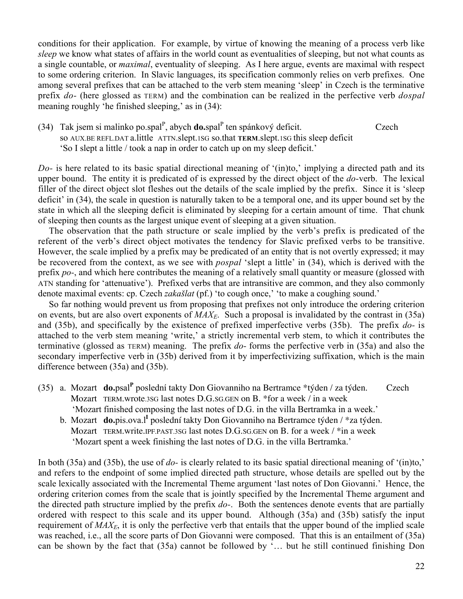conditions for their application. For example, by virtue of knowing the meaning of a process verb like *sleep* we know what states of affairs in the world count as eventualities of sleeping, but not what counts as a single countable, or *maximal*, eventuality of sleeping. As I here argue, events are maximal with respect to some ordering criterion. In Slavic languages, its specification commonly relies on verb prefixes. One among several prefixes that can be attached to the verb stem meaning 'sleep' in Czech is the terminative prefix *do-* (here glossed as TERM) and the combination can be realized in the perfective verb *dospal* meaning roughly 'he finished sleeping,' as in (34):

(34) Tak jsem si malinko po.spal<sup>P</sup>, abych **do.**spal<sup>P</sup> ten spánkový deficit. Czech so AUX.BE REFL.DAT a.little ATTN.slept.1SG so.that **TERM**.slept.1SG this sleep deficit 'So I slept a little / took a nap in order to catch up on my sleep deficit.'

*Do-* is here related to its basic spatial directional meaning of '(in)to,' implying a directed path and its upper bound. The entity it is predicated of is expressed by the direct object of the *do-*verb. The lexical filler of the direct object slot fleshes out the details of the scale implied by the prefix. Since it is 'sleep deficit' in (34), the scale in question is naturally taken to be a temporal one, and its upper bound set by the state in which all the sleeping deficit is eliminated by sleeping for a certain amount of time. That chunk of sleeping then counts as the largest unique event of sleeping at a given situation.

The observation that the path structure or scale implied by the verb's prefix is predicated of the referent of the verb's direct object motivates the tendency for Slavic prefixed verbs to be transitive. However, the scale implied by a prefix may be predicated of an entity that is not overtly expressed; it may be recovered from the context, as we see with *pospal* 'slept a little' in (34), which is derived with the prefix *po-*, and which here contributes the meaning of a relatively small quantity or measure (glossed with ATN standing for 'attenuative'). Prefixed verbs that are intransitive are common, and they also commonly denote maximal events: cp. Czech *zaka‰lat* (pf.) 'to cough once,' 'to make a coughing sound.'

So far nothing would prevent us from proposing that prefixes not only introduce the ordering criterion on events, but are also overt exponents of *MAXE*. Such a proposal is invalidated by the contrast in (35a) and (35b), and specifically by the existence of prefixed imperfective verbs (35b). The prefix *do-* is attached to the verb stem meaning 'write,' a strictly incremental verb stem, to which it contributes the terminative (glossed as TERM) meaning. The prefix *do-* forms the perfective verb in (35a) and also the secondary imperfective verb in (35b) derived from it by imperfectivizing suffixation, which is the main difference between (35a) and (35b).

- (35) a. Mozart **do.**psal**<sup>P</sup>** poslední takty Don Giovanniho na Bertramce \*týden / za týden. Czech Mozart TERM.wrote.3SG last notes D.G.SG.GEN on B. \*for a week / in a week 'Mozart finished composing the last notes of D.G. in the villa Bertramka in a week.'
	- b. Mozart **do.**pis.ova.l**<sup>I</sup>** poslední takty Don Giovanniho na Bertramce týden / \*za týden. Mozart TERM.write.IPF.PAST.3SG last notes D.G.SG.GEN on B. for a week / \*in a week 'Mozart spent a week finishing the last notes of D.G. in the villa Bertramka.'

In both (35a) and (35b), the use of *do-* is clearly related to its basic spatial directional meaning of '(in)to,' and refers to the endpoint of some implied directed path structure, whose details are spelled out by the scale lexically associated with the Incremental Theme argument 'last notes of Don Giovanni.' Hence, the ordering criterion comes from the scale that is jointly specified by the Incremental Theme argument and the directed path structure implied by the prefix *do-*. Both the sentences denote events that are partially ordered with respect to this scale and its upper bound. Although (35a) and (35b) satisfy the input requirement of *MAXE*, it is only the perfective verb that entails that the upper bound of the implied scale was reached, i.e., all the score parts of Don Giovanni were composed. That this is an entailment of (35a) can be shown by the fact that (35a) cannot be followed by '… but he still continued finishing Don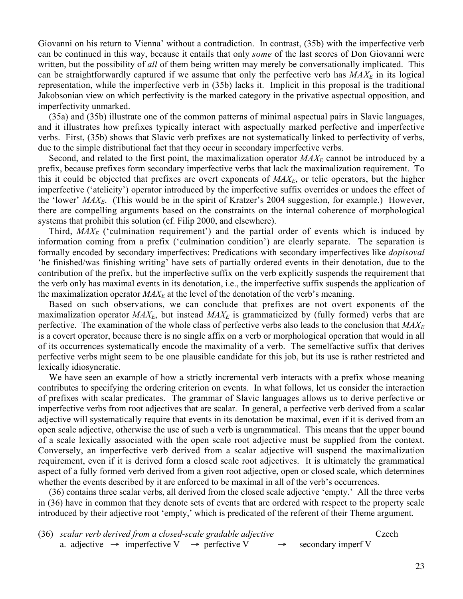Giovanni on his return to Vienna' without a contradiction. In contrast, (35b) with the imperfective verb can be continued in this way, because it entails that only *some* of the last scores of Don Giovanni were written, but the possibility of *all* of them being written may merely be conversationally implicated. This can be straightforwardly captured if we assume that only the perfective verb has  $MAX_E$  in its logical representation, while the imperfective verb in (35b) lacks it. Implicit in this proposal is the traditional Jakobsonian view on which perfectivity is the marked category in the privative aspectual opposition, and imperfectivity unmarked.

(35a) and (35b) illustrate one of the common patterns of minimal aspectual pairs in Slavic languages, and it illustrates how prefixes typically interact with aspectually marked perfective and imperfective verbs. First, (35b) shows that Slavic verb prefixes are not systematically linked to perfectivity of verbs, due to the simple distributional fact that they occur in secondary imperfective verbs.

Second, and related to the first point, the maximalization operator  $MAX_E$  cannot be introduced by a prefix, because prefixes form secondary imperfective verbs that lack the maximalization requirement. To this it could be objected that prefixes are overt exponents of *MAXE*, or telic operators, but the higher imperfective ('atelicity') operator introduced by the imperfective suffix overrides or undoes the effect of the 'lower' *MAXE*. (This would be in the spirit of Kratzer's 2004 suggestion, for example.) However, there are compelling arguments based on the constraints on the internal coherence of morphological systems that prohibit this solution (cf. Filip 2000, and elsewhere).

Third,  $MAX_E$  ('culmination requirement') and the partial order of events which is induced by information coming from a prefix ('culmination condition') are clearly separate. The separation is formally encoded by secondary imperfectives: Predications with secondary imperfectives like *dopisoval* 'he finished/was finishing writing' have sets of partially ordered events in their denotation, due to the contribution of the prefix, but the imperfective suffix on the verb explicitly suspends the requirement that the verb only has maximal events in its denotation, i.e., the imperfective suffix suspends the application of the maximalization operator  $MAX_E$  at the level of the denotation of the verb's meaning.

Based on such observations, we can conclude that prefixes are not overt exponents of the maximalization operator *MAXE*, but instead *MAXE* is grammaticized by (fully formed) verbs that are perfective. The examination of the whole class of perfective verbs also leads to the conclusion that  $MAX_E$ is a covert operator, because there is no single affix on a verb or morphological operation that would in all of its occurrences systematically encode the maximality of a verb. The semelfactive suffix that derives perfective verbs might seem to be one plausible candidate for this job, but its use is rather restricted and lexically idiosyncratic.

We have seen an example of how a strictly incremental verb interacts with a prefix whose meaning contributes to specifying the ordering criterion on events. In what follows, let us consider the interaction of prefixes with scalar predicates. The grammar of Slavic languages allows us to derive perfective or imperfective verbs from root adjectives that are scalar. In general, a perfective verb derived from a scalar adjective will systematically require that events in its denotation be maximal, even if it is derived from an open scale adjective, otherwise the use of such a verb is ungrammatical. This means that the upper bound of a scale lexically associated with the open scale root adjective must be supplied from the context. Conversely, an imperfective verb derived from a scalar adjective will suspend the maximalization requirement, even if it is derived form a closed scale root adjectives. It is ultimately the grammatical aspect of a fully formed verb derived from a given root adjective, open or closed scale, which determines whether the events described by it are enforced to be maximal in all of the verb's occurrences.

(36) contains three scalar verbs, all derived from the closed scale adjective 'empty.' All the three verbs in (36) have in common that they denote sets of events that are ordered with respect to the property scale introduced by their adjective root 'empty,' which is predicated of the referent of their Theme argument.

| (36) scalar verb derived from a closed-scale gradable adjective      | Czech |  |                                  |
|----------------------------------------------------------------------|-------|--|----------------------------------|
| a. adjective $\rightarrow$ imperfective V $\rightarrow$ perfective V |       |  | $\rightarrow$ secondary imperf V |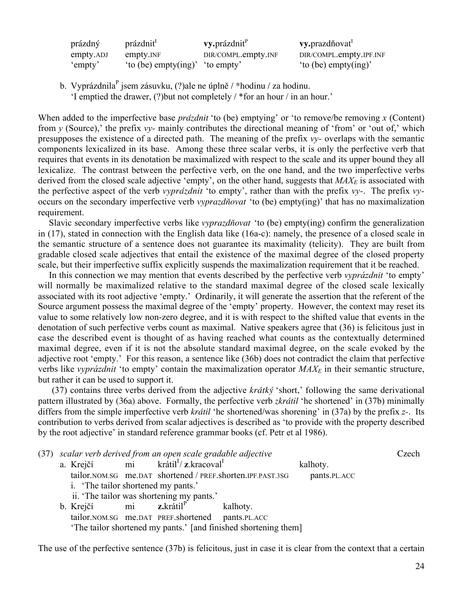| prázdný   | prázdniť                        | vy.prázdnit <sup>P</sup> | vy.prazdňovať           |
|-----------|---------------------------------|--------------------------|-------------------------|
| empty.ADJ | empty.INF                       | DIR/COMPL.empty.INF      | DIR/COMPL.empty.IPF.INF |
| 'empty'   | 'to (be) empty(ing)' 'to empty' |                          | 'to (be) empty(ing)'    |

b. Vyprázdnila<sup>p</sup> jsem zásuvku, (?)ale ne úplně / \*hodinu / za hodinu. 'I emptied the drawer, (?)but not completely / \*for an hour / in an hour.'

When added to the imperfective base *prázdnit* 'to (be) emptying' or 'to remove/be removing *x* (Content) from *y* (Source),' the prefix *vy-* mainly contributes the directional meaning of 'from' or 'out of,' which presupposes the existence of a directed path. The meaning of the prefix *vy-* overlaps with the semantic components lexicalized in its base. Among these three scalar verbs, it is only the perfective verb that requires that events in its denotation be maximalized with respect to the scale and its upper bound they all lexicalize. The contrast between the perfective verb, on the one hand, and the two imperfective verbs derived from the closed scale adjective 'empty', on the other hand, suggests that  $MAX_E$  is associated with the perfective aspect of the verb *vyprázdnit* 'to empty', rather than with the prefix *vy-*. The prefix *vy*occurs on the secondary imperfective verb *vyprazdÀovat* 'to (be) empty(ing)' that has no maximalization requirement.

Slavic secondary imperfective verbs like *vyprazdÀovat* 'to (be) empty(ing) confirm the generalization in (17), stated in connection with the English data like (16a-c): namely, the presence of a closed scale in the semantic structure of a sentence does not guarantee its maximality (telicity). They are built from gradable closed scale adjectives that entail the existence of the maximal degree of the closed property scale, but their imperfective suffix explicitly suspends the maximalization requirement that it be reached.

In this connection we may mention that events described by the perfective verb *vyprázdnit* 'to empty' will normally be maximalized relative to the standard maximal degree of the closed scale lexically associated with its root adjective 'empty.' Ordinarily, it will generate the assertion that the referent of the Source argument possess the maximal degree of the 'empty' property. However, the context may reset its value to some relatively low non-zero degree, and it is with respect to the shifted value that events in the denotation of such perfective verbs count as maximal. Native speakers agree that (36) is felicitous just in case the described event is thought of as having reached what counts as the contextually determined maximal degree, even if it is not the absolute standard maximal degree, on the scale evoked by the adjective root 'empty.' For this reason, a sentence like (36b) does not contradict the claim that perfective verbs like *vyprázdnit* 'to empty' contain the maximalization operator  $MAX_E$  in their semantic structure, but rather it can be used to support it.

(37) contains three verbs derived from the adjective *krátký* 'short,' following the same derivational pattern illustrated by (36a) above. Formally, the perfective verb *zkrátil* 'he shortened' in (37b) minimally differs from the simple imperfective verb *krátil* 'he shortened/was shorening' in (37a) by the prefix *z-*. Its contribution to verbs derived from scalar adjectives is described as 'to provide with the property described by the root adjective' in standard reference grammar books (cf. Petr et al 1986).

(37) *scalar verb derived from an open scale gradable adjective* Czech

a. Krejčí mi  $\frac{I}{Z}$ **z**.kracoval<sup>I</sup> kalhoty. tailor.NOM.SG me.DAT shortened / PREF.shorten.IPF.PAST.3SG pants.PL.ACC i. 'The tailor shortened my pants.' ii. 'The tailor was shortening my pants.' b. Krejčí mi **z.**krátil<sup>P</sup> kalhoty.

tailor.NOM.SG me.DAT PREF.shortened pants.PL.ACC

'The tailor shortened my pants.' [and finished shortening them]

The use of the perfective sentence (37b) is felicitous, just in case it is clear from the context that a certain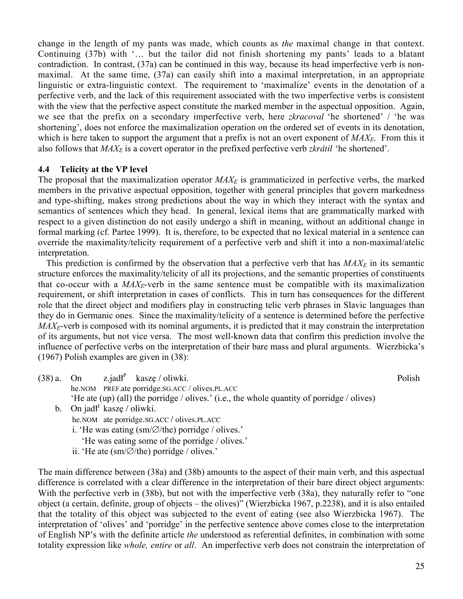change in the length of my pants was made, which counts as *the* maximal change in that context. Continuing (37b) with '… but the tailor did not finish shortening my pants' leads to a blatant contradiction. In contrast, (37a) can be continued in this way, because its head imperfective verb is nonmaximal. At the same time, (37a) can easily shift into a maximal interpretation, in an appropriate linguistic or extra-linguistic context. The requirement to 'maximalize' events in the denotation of a perfective verb, and the lack of this requirement associated with the two imperfective verbs is consistent with the view that the perfective aspect constitute the marked member in the aspectual opposition. Again, we see that the prefix on a secondary imperfective verb, here *zkracoval* 'he shortened' / 'he was shortening', does not enforce the maximalization operation on the ordered set of events in its denotation, which is here taken to support the argument that a prefix is not an overt exponent of  $MAX<sub>E</sub>$ . From this it also follows that *MAXE* is a covert operator in the prefixed perfective verb *zkrátil* 'he shortened'.

# **4.4 Telicity at the VP level**

The proposal that the maximalization operator *MAXE* is grammaticized in perfective verbs, the marked members in the privative aspectual opposition, together with general principles that govern markedness and type-shifting, makes strong predictions about the way in which they interact with the syntax and semantics of sentences which they head. In general, lexical items that are grammatically marked with respect to a given distinction do not easily undergo a shift in meaning, without an additional change in formal marking (cf. Partee 1999). It is, therefore, to be expected that no lexical material in a sentence can override the maximality/telicity requirement of a perfective verb and shift it into a non-maximal/atelic interpretation.

This prediction is confirmed by the observation that a perfective verb that has *MAXE* in its semantic structure enforces the maximality/telicity of all its projections, and the semantic properties of constituents that co-occur with a *MAXE*-verb in the same sentence must be compatible with its maximalization requirement, or shift interpretation in cases of conflicts. This in turn has consequences for the different role that the direct object and modifiers play in constructing telic verb phrases in Slavic languages than they do in Germanic ones. Since the maximality/telicity of a sentence is determined before the perfective  $MAX<sub>F</sub>$ -verb is composed with its nominal arguments, it is predicted that it may constrain the interpretation of its arguments, but not vice versa. The most well-known data that confirm this prediction involve the influence of perfective verbs on the interpretation of their bare mass and plural arguments. Wierzbicka's (1967) Polish examples are given in (38):

- $(38)$  a. On <sup>P</sup> kaszę / oliwki. Polish he.NOM PREF.ate porridge.SG.ACC / olives.PL.ACC 'He ate (up) (all) the porridge / olives.' (i.e., the whole quantity of porridge / olives)
	- b. On jadł<sup>I</sup> kaszę / oliwki.
		- he.NOM ate porridge.SG.ACC / olives.PL.ACC
		- i. 'He was eating (sm/∅/the) porridge / olives.'
			- 'He was eating some of the porridge / olives.'
		- ii. 'He ate (sm/∅/the) porridge / olives.'

The main difference between (38a) and (38b) amounts to the aspect of their main verb, and this aspectual difference is correlated with a clear difference in the interpretation of their bare direct object arguments: With the perfective verb in (38b), but not with the imperfective verb (38a), they naturally refer to "one object (a certain, definite, group of objects – the olives)" (Wierzbicka 1967, p.2238), and it is also entailed that the totality of this object was subjected to the event of eating (see also Wierzbicka 1967). The interpretation of 'olives' and 'porridge' in the perfective sentence above comes close to the interpretation of English NP's with the definite article *the* understood as referential definites, in combination with some totality expression like *whole, entire* or *all*. An imperfective verb does not constrain the interpretation of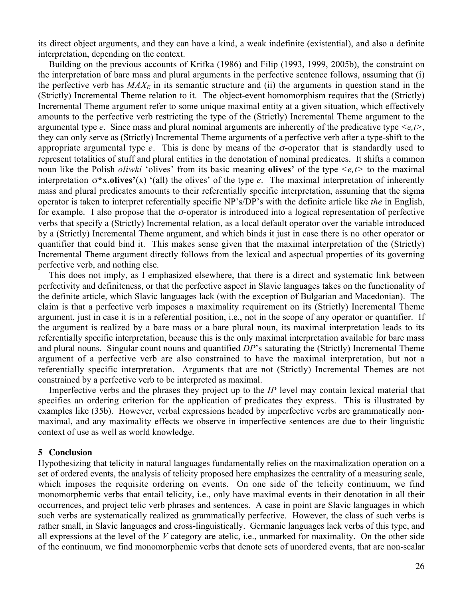its direct object arguments, and they can have a kind, a weak indefinite (existential), and also a definite interpretation, depending on the context.

Building on the previous accounts of Krifka (1986) and Filip (1993, 1999, 2005b), the constraint on the interpretation of bare mass and plural arguments in the perfective sentence follows, assuming that (i) the perfective verb has  $MAX_F$  in its semantic structure and (ii) the arguments in question stand in the (Strictly) Incremental Theme relation to it. The object-event homomorphism requires that the (Strictly) Incremental Theme argument refer to some unique maximal entity at a given situation, which effectively amounts to the perfective verb restricting the type of the (Strictly) Incremental Theme argument to the argumental type *e*. Since mass and plural nominal arguments are inherently of the predicative type *<e,t>*, they can only serve as (Strictly) Incremental Theme arguments of a perfective verb after a type-shift to the appropriate argumental type *e*. This is done by means of the σ-operator that is standardly used to represent totalities of stuff and plural entities in the denotation of nominal predicates. It shifts a common noun like the Polish *oliwki* 'olives' from its basic meaning **olives'** of the type *<e,t>* to the maximal interpretation σ**\***x**.olives'**(x) '(all) the olives' of the type *e*. The maximal interpretation of inherently mass and plural predicates amounts to their referentially specific interpretation, assuming that the sigma operator is taken to interpret referentially specific NP's/DP's with the definite article like *the* in English, for example. I also propose that the  $\sigma$ -operator is introduced into a logical representation of perfective verbs that specify a (Strictly) Incremental relation, as a local default operator over the variable introduced by a (Strictly) Incremental Theme argument, and which binds it just in case there is no other operator or quantifier that could bind it. This makes sense given that the maximal interpretation of the (Strictly) Incremental Theme argument directly follows from the lexical and aspectual properties of its governing perfective verb, and nothing else.

This does not imply, as I emphasized elsewhere, that there is a direct and systematic link between perfectivity and definiteness, or that the perfective aspect in Slavic languages takes on the functionality of the definite article, which Slavic languages lack (with the exception of Bulgarian and Macedonian). The claim is that a perfective verb imposes a maximality requirement on its (Strictly) Incremental Theme argument, just in case it is in a referential position, i.e., not in the scope of any operator or quantifier. If the argument is realized by a bare mass or a bare plural noun, its maximal interpretation leads to its referentially specific interpretation, because this is the only maximal interpretation available for bare mass and plural nouns. Singular count nouns and quantified *DP*'s saturating the (Strictly) Incremental Theme argument of a perfective verb are also constrained to have the maximal interpretation, but not a referentially specific interpretation. Arguments that are not (Strictly) Incremental Themes are not constrained by a perfective verb to be interpreted as maximal.

Imperfective verbs and the phrases they project up to the *IP* level may contain lexical material that specifies an ordering criterion for the application of predicates they express. This is illustrated by examples like (35b). However, verbal expressions headed by imperfective verbs are grammatically nonmaximal, and any maximality effects we observe in imperfective sentences are due to their linguistic context of use as well as world knowledge.

# **5 Conclusion**

Hypothesizing that telicity in natural languages fundamentally relies on the maximalization operation on a set of ordered events, the analysis of telicity proposed here emphasizes the centrality of a measuring scale, which imposes the requisite ordering on events. On one side of the telicity continuum, we find monomorphemic verbs that entail telicity, i.e., only have maximal events in their denotation in all their occurrences, and project telic verb phrases and sentences. A case in point are Slavic languages in which such verbs are systematically realized as grammatically perfective. However, the class of such verbs is rather small, in Slavic languages and cross-linguistically. Germanic languages lack verbs of this type, and all expressions at the level of the *V* category are atelic, i.e., unmarked for maximality. On the other side of the continuum, we find monomorphemic verbs that denote sets of unordered events, that are non-scalar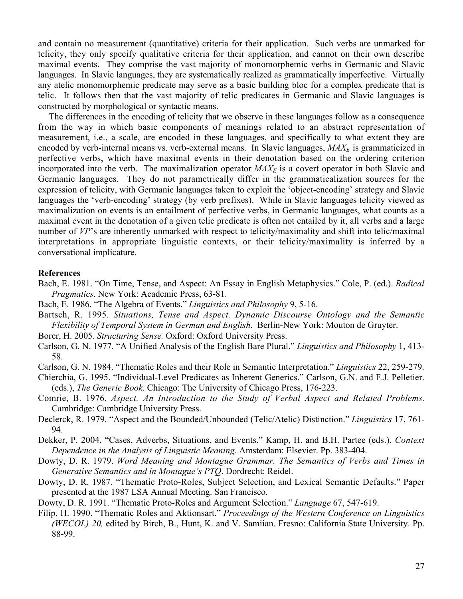and contain no measurement (quantitative) criteria for their application. Such verbs are unmarked for telicity, they only specify qualitative criteria for their application, and cannot on their own describe maximal events. They comprise the vast majority of monomorphemic verbs in Germanic and Slavic languages. In Slavic languages, they are systematically realized as grammatically imperfective. Virtually any atelic monomorphemic predicate may serve as a basic building bloc for a complex predicate that is telic. It follows then that the vast majority of telic predicates in Germanic and Slavic languages is constructed by morphological or syntactic means.

The differences in the encoding of telicity that we observe in these languages follow as a consequence from the way in which basic components of meanings related to an abstract representation of measurement, i.e., a scale, are encoded in these languages, and specifically to what extent they are encoded by verb-internal means vs. verb-external means. In Slavic languages,  $MAX_E$  is grammaticized in perfective verbs, which have maximal events in their denotation based on the ordering criterion incorporated into the verb. The maximalization operator  $MAX_E$  is a covert operator in both Slavic and Germanic languages. They do not parametrically differ in the grammaticalization sources for the expression of telicity, with Germanic languages taken to exploit the 'object-encoding' strategy and Slavic languages the 'verb-encoding' strategy (by verb prefixes). While in Slavic languages telicity viewed as maximalization on events is an entailment of perfective verbs, in Germanic languages, what counts as a maximal event in the denotation of a given telic predicate is often not entailed by it, all verbs and a large number of *VP*'s are inherently unmarked with respect to telicity/maximality and shift into telic/maximal interpretations in appropriate linguistic contexts, or their telicity/maximality is inferred by a conversational implicature.

#### **References**

- Bach, E. 1981. "On Time, Tense, and Aspect: An Essay in English Metaphysics." Cole, P. (ed.). *Radical Pragmatics*. New York: Academic Press, 63-81.
- Bach, E. 1986. "The Algebra of Events." *Linguistics and Philosophy* 9, 5-16.
- Bartsch, R. 1995. *Situations, Tense and Aspect. Dynamic Discourse Ontology and the Semantic Flexibility of Temporal System in German and English*. Berlin-New York: Mouton de Gruyter.
- Borer, H. 2005. *Structuring Sense.* Oxford: Oxford University Press.
- Carlson, G. N. 1977. "A Unified Analysis of the English Bare Plural." *Linguistics and Philosophy* 1, 413- 58.
- Carlson, G. N. 1984. "Thematic Roles and their Role in Semantic Interpretation." *Linguistics* 22, 259-279.
- Chierchia, G. 1995. "Individual-Level Predicates as Inherent Generics." Carlson, G.N. and F.J. Pelletier. (eds.), *The Generic Book*. Chicago: The University of Chicago Press, 176-223.
- Comrie, B. 1976. *Aspect. An Introduction to the Study of Verbal Aspect and Related Problems*. Cambridge: Cambridge University Press.
- Declerck, R. 1979. "Aspect and the Bounded/Unbounded (Telic/Atelic) Distinction." *Linguistics* 17, 761- 94.
- Dekker, P. 2004. "Cases, Adverbs, Situations, and Events." Kamp, H. and B.H. Partee (eds.). *Context Dependence in the Analysis of Linguistic Meaning*. Amsterdam: Elsevier. Pp. 383-404.
- Dowty, D. R. 1979. *Word Meaning and Montague Grammar. The Semantics of Verbs and Times in Generative Semantics and in Montague's PTQ*. Dordrecht: Reidel.
- Dowty, D. R. 1987. "Thematic Proto-Roles, Subject Selection, and Lexical Semantic Defaults." Paper presented at the 1987 LSA Annual Meeting. San Francisco.
- Dowty, D. R. 1991. "Thematic Proto-Roles and Argument Selection." *Language* 67, 547-619.
- Filip, H. 1990. "Thematic Roles and Aktionsart." *Proceedings of the Western Conference on Linguistics (WECOL) 20,* edited by Birch, B., Hunt, K. and V. Samiian. Fresno: California State University. Pp. 88-99.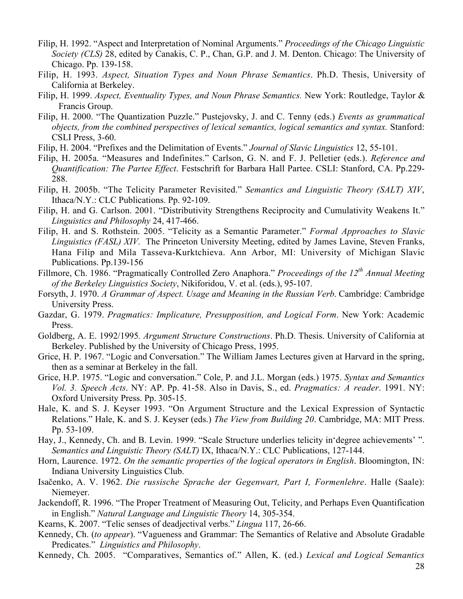- Filip, H. 1992. "Aspect and Interpretation of Nominal Arguments." *Proceedings of the Chicago Linguistic Society (CLS)* 28, edited by Canakis, C. P., Chan, G.P. and J. M. Denton. Chicago: The University of Chicago. Pp. 139-158.
- Filip, H. 1993. *Aspect, Situation Types and Noun Phrase Semantics*. Ph.D. Thesis, University of California at Berkeley.
- Filip, H. 1999. *Aspect, Eventuality Types, and Noun Phrase Semantics.* New York: Routledge, Taylor & Francis Group.
- Filip, H. 2000. "The Quantization Puzzle." Pustejovsky, J. and C. Tenny (eds.) *Events as grammatical objects, from the combined perspectives of lexical semantics, logical semantics and syntax.* Stanford: CSLI Press, 3-60.
- Filip, H. 2004. "Prefixes and the Delimitation of Events." *Journal of Slavic Linguistics* 12, 55-101.
- Filip, H. 2005a. "Measures and Indefinites." Carlson, G. N. and F. J. Pelletier (eds.). *Reference and Quantification: The Partee Effect*. Festschrift for Barbara Hall Partee. CSLI: Stanford, CA. Pp.229- 288.
- Filip, H. 2005b. "The Telicity Parameter Revisited." *Semantics and Linguistic Theory (SALT) XIV*, Ithaca/N.Y.: CLC Publications. Pp. 92-109.
- Filip, H. and G. Carlson. 2001. "Distributivity Strengthens Reciprocity and Cumulativity Weakens It." *Linguistics and Philosophy* 24, 417-466.
- Filip, H. and S. Rothstein. 2005. "Telicity as a Semantic Parameter." *Formal Approaches to Slavic Linguistics (FASL) XIV*. The Princeton University Meeting, edited by James Lavine, Steven Franks, Hana Filip and Mila Tasseva-Kurktchieva. Ann Arbor, MI: University of Michigan Slavic Publications. Pp.139-156
- Fillmore, Ch. 1986. "Pragmatically Controlled Zero Anaphora." *Proceedings of the 12th Annual Meeting of the Berkeley Linguistics Society*, Nikiforidou, V. et al. (eds.), 95-107.
- Forsyth, J. 1970. *A Grammar of Aspect. Usage and Meaning in the Russian Verb*. Cambridge: Cambridge University Press.
- Gazdar, G. 1979. *Pragmatics: Implicature, Presupposition, and Logical Form*. New York: Academic Press.
- Goldberg, A. E. 1992/1995*. Argument Structure Constructions*. Ph.D. Thesis. University of California at Berkeley. Published by the University of Chicago Press, 1995.
- Grice, H. P. 1967. "Logic and Conversation." The William James Lectures given at Harvard in the spring, then as a seminar at Berkeley in the fall.
- Grice, H.P. 1975. "Logic and conversation." Cole, P. and J.L. Morgan (eds.) 1975. *Syntax and Semantics Vol. 3. Speech Acts*. NY: AP. Pp. 41-58. Also in Davis, S., ed. *Pragmatics: A reader*. 1991. NY: Oxford University Press. Pp. 305-15.
- Hale, K. and S. J. Keyser 1993. "On Argument Structure and the Lexical Expression of Syntactic Relations." Hale, K. and S. J. Keyser (eds.) *The View from Building 20*. Cambridge, MA: MIT Press. Pp. 53-109.
- Hay, J., Kennedy, Ch. and B. Levin. 1999. "Scale Structure underlies telicity in'degree achievements' ". *Semantics and Linguistic Theory (SALT)* IX, Ithaca/N.Y.: CLC Publications, 127-144.
- Horn, Laurence. 1972. *On the semantic properties of the logical operators in English*. Bloomington, IN: Indiana University Linguistics Club.
- Isaãenko, A. V. 1962. *Die russische Sprache der Gegenwart, Part I, Formenlehre*. Halle (Saale): Niemeyer.
- Jackendoff, R. 1996. "The Proper Treatment of Measuring Out, Telicity, and Perhaps Even Quantification in English." *Natural Language and Linguistic Theory* 14, 305-354.
- Kearns, K. 2007. "Telic senses of deadjectival verbs." *Lingua* 117, 26-66.
- Kennedy, Ch. (*to appear*). "Vagueness and Grammar: The Semantics of Relative and Absolute Gradable Predicates." *Linguistics and Philosophy*.
- Kennedy, Ch. 2005. "Comparatives, Semantics of." Allen, K. (ed.) *Lexical and Logical Semantics*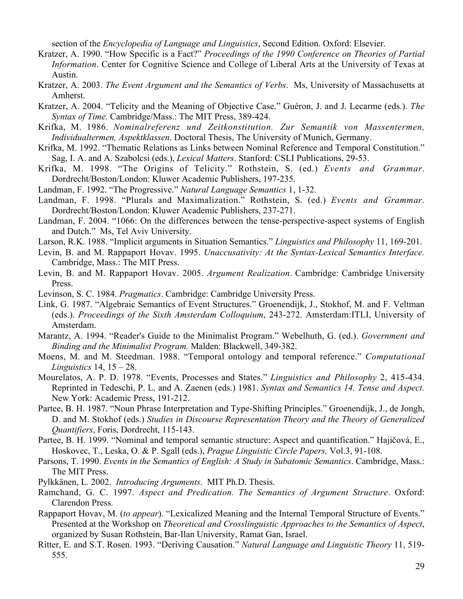section of the *Encyclopedia of Language and Linguistics*, Second Edition. Oxford: Elsevier.

- Kratzer, A. 1990. "How Specific is a Fact?" *Proceedings of the 1990 Conference on Theories of Partial Information*. Center for Cognitive Science and College of Liberal Arts at the University of Texas at Austin.
- Kratzer, A. 2003. *The Event Argument and the Semantics of Verbs*. Ms, University of Massachusetts at Amherst.
- Kratzer, A. 2004. "Telicity and the Meaning of Objective Case." Guéron, J. and J. Lecarme (eds.). *The Syntax of Time.* Cambridge/Mass.: The MIT Press, 389-424.
- Krifka, M. 1986. *Nominalreferenz und Zeitkonstitution. Zur Semantik von Massentermen, Individualtermen, Aspektklassen*. Doctoral Thesis, The University of Munich, Germany.
- Krifka, M. 1992. "Thematic Relations as Links between Nominal Reference and Temporal Constitution." Sag, I. A. and A. Szabolcsi (eds.), *Lexical Matters*. Stanford: CSLI Publications, 29-53.
- Krifka, M. 1998. "The Origins of Telicity." Rothstein, S. (ed.) *Events and Grammar*. Dordrecht/Boston/London: Kluwer Academic Publishers, 197-235.
- Landman, F. 1992. "The Progressive." *Natural Language Semantics* 1, 1-32.
- Landman, F. 1998. "Plurals and Maximalization." Rothstein, S. (ed.) *Events and Grammar*. Dordrecht/Boston/London: Kluwer Academic Publishers, 237-271.
- Landman, F. 2004. "1066: On the differences between the tense-perspective-aspect systems of English and Dutch." Ms, Tel Aviv University.
- Larson, R.K. 1988. "Implicit arguments in Situation Semantics." *Linguistics and Philosophy* 11, 169-201.
- Levin, B. and M. Rappaport Hovav. 1995. *Unaccusativity: At the Syntax-Lexical Semantics Interface.* Cambridge, Mass.: The MIT Press.
- Levin, B. and M. Rappaport Hovav. 2005. *Argument Realization*. Cambridge: Cambridge University Press.
- Levinson, S. C. 1984. *Pragmatics*. Cambridge: Cambridge University Press.
- Link, G. 1987. "Algebraic Semantics of Event Structures." Groenendijk, J., Stokhof, M. and F. Veltman (eds.). *Proceedings of the Sixth Amsterdam Colloquium*, 243-272. Amsterdam:ITLI, University of Amsterdam.
- Marantz, A. 1994. "Reader's Guide to the Minimalist Program." Webelhuth, G. (ed.). *Government and Binding and the Minimalist Program.* Malden: Blackwell, 349-382.
- Moens, M. and M. Steedman. 1988. "Temporal ontology and temporal reference." *Computational Linguistics* 14, 15 – 28.
- Mourelatos, A. P. D. 1978. "Events, Processes and States." *Linguistics and Philosophy* 2, 415-434. Reprinted in Tedeschi, P. L. and A. Zaenen (eds.) 1981. *Syntax and Semantics 14. Tense and Aspect*. New York: Academic Press, 191-212.
- Partee, B. H. 1987. "Noun Phrase Interpretation and Type-Shifting Principles." Groenendijk, J., de Jongh, D. and M. Stokhof (eds.) *Studies in Discourse Representation Theory and the Theory of Generalized Quantifiers*, Foris, Dordrecht, 115-143.
- Partee, B. H. 1999. "Nominal and temporal semantic structure: Aspect and quantification." Hajičová, E., Hoskovec, T., Leska, O. & P. Sgall (eds.), *Prague Linguistic Circle Papers,* Vol.3, 91-108.
- Parsons, T. 1990. *Events in the Semantics of English: A Study in Subatomic Semantics*. Cambridge, Mass.: The MIT Press.
- Pylkkänen, L. 2002. *Introducing Arguments*. MIT Ph.D. Thesis.
- Ramchand, G. C. 1997. *Aspect and Predication. The Semantics of Argument Structure*. Oxford: Clarendon Press.
- Rappaport Hovav, M. (*to appear*). "Lexicalized Meaning and the Internal Temporal Structure of Events." Presented at the Workshop on *Theoretical and Crosslinguistic Approaches to the Semantics of Aspect*, organized by Susan Rothstein, Bar-Ilan University, Ramat Gan, Israel.
- Ritter, E. and S.T. Rosen. 1993. "Deriving Causation." *Natural Language and Linguistic Theory* 11, 519- 555.